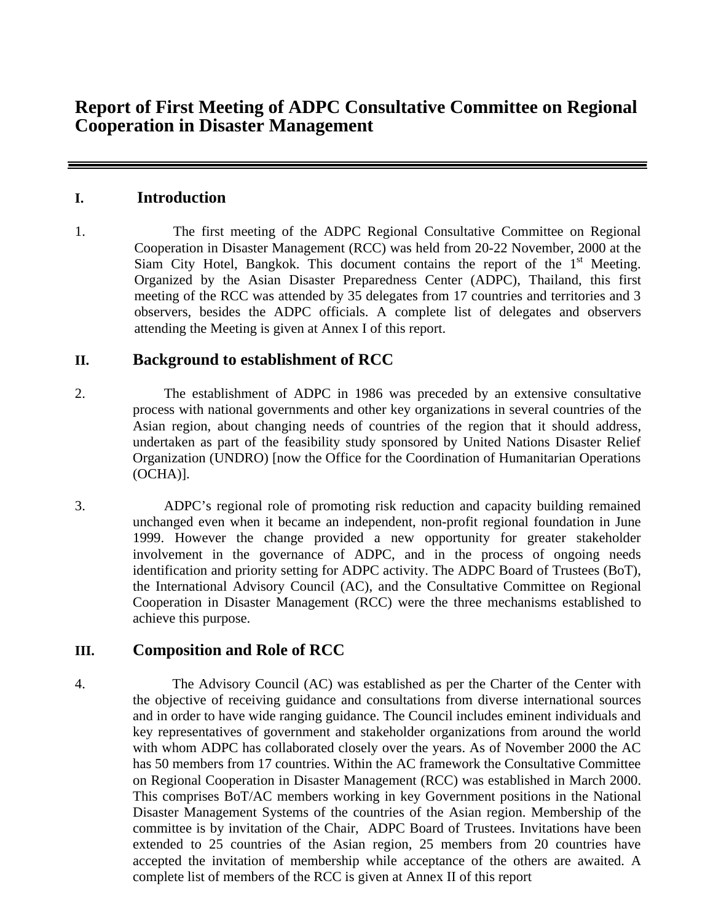## **I. Introduction**

1. The first meeting of the ADPC Regional Consultative Committee on Regional Cooperation in Disaster Management (RCC) was held from 20-22 November, 2000 at the Siam City Hotel, Bangkok. This document contains the report of the  $1<sup>st</sup>$  Meeting. Organized by the Asian Disaster Preparedness Center (ADPC), Thailand, this first meeting of the RCC was attended by 35 delegates from 17 countries and territories and 3 observers, besides the ADPC officials. A complete list of delegates and observers attending the Meeting is given at Annex I of this report.

# **II. Background to establishment of RCC**

- 2. The establishment of ADPC in 1986 was preceded by an extensive consultative process with national governments and other key organizations in several countries of the Asian region, about changing needs of countries of the region that it should address, undertaken as part of the feasibility study sponsored by United Nations Disaster Relief Organization (UNDRO) [now the Office for the Coordination of Humanitarian Operations (OCHA)].
- 3. ADPC's regional role of promoting risk reduction and capacity building remained unchanged even when it became an independent, non-profit regional foundation in June 1999. However the change provided a new opportunity for greater stakeholder involvement in the governance of ADPC, and in the process of ongoing needs identification and priority setting for ADPC activity. The ADPC Board of Trustees (BoT), the International Advisory Council (AC), and the Consultative Committee on Regional Cooperation in Disaster Management (RCC) were the three mechanisms established to achieve this purpose.

# **III. Composition and Role of RCC**

4. The Advisory Council (AC) was established as per the Charter of the Center with the objective of receiving guidance and consultations from diverse international sources and in order to have wide ranging guidance. The Council includes eminent individuals and key representatives of government and stakeholder organizations from around the world with whom ADPC has collaborated closely over the years. As of November 2000 the AC has 50 members from 17 countries. Within the AC framework the Consultative Committee on Regional Cooperation in Disaster Management (RCC) was established in March 2000. This comprises BoT/AC members working in key Government positions in the National Disaster Management Systems of the countries of the Asian region. Membership of the committee is by invitation of the Chair, ADPC Board of Trustees. Invitations have been extended to 25 countries of the Asian region, 25 members from 20 countries have accepted the invitation of membership while acceptance of the others are awaited. A complete list of members of the RCC is given at Annex II of this report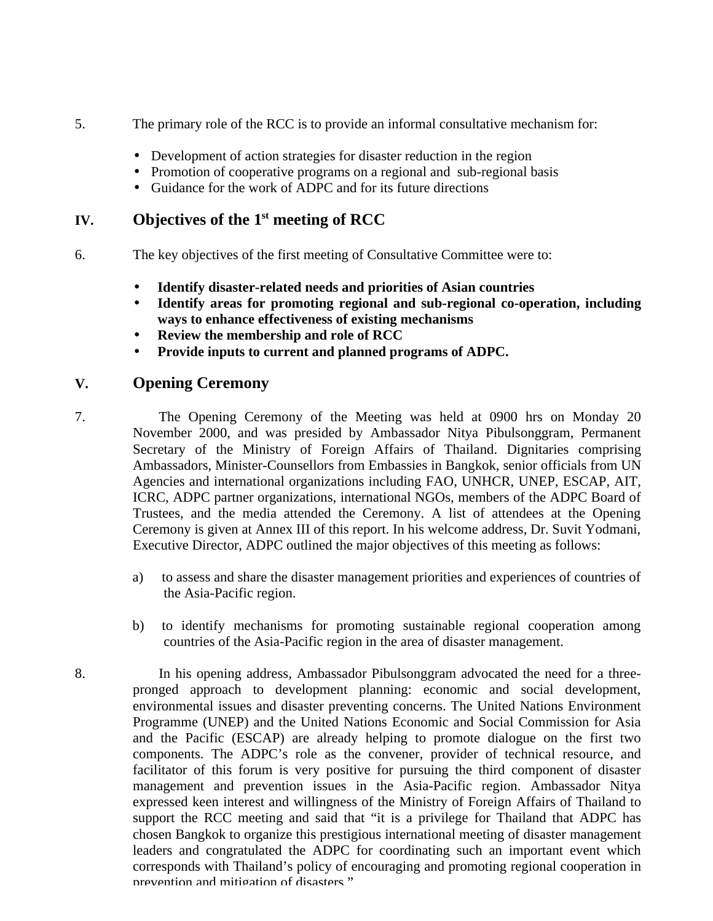- 5. The primary role of the RCC is to provide an informal consultative mechanism for:
	- Development of action strategies for disaster reduction in the region
	- Promotion of cooperative programs on a regional and sub-regional basis
	- Guidance for the work of ADPC and for its future directions

# **IV. Objectives of the 1st meeting of RCC**

- 6. The key objectives of the first meeting of Consultative Committee were to:
	- **Identify disaster-related needs and priorities of Asian countries**
	- **Identify areas for promoting regional and sub-regional co-operation, including ways to enhance effectiveness of existing mechanisms**
	- **Review the membership and role of RCC**
	- **Provide inputs to current and planned programs of ADPC.**

## **V. Opening Ceremony**

- 7. The Opening Ceremony of the Meeting was held at 0900 hrs on Monday 20 November 2000, and was presided by Ambassador Nitya Pibulsonggram, Permanent Secretary of the Ministry of Foreign Affairs of Thailand. Dignitaries comprising Ambassadors, Minister-Counsellors from Embassies in Bangkok, senior officials from UN Agencies and international organizations including FAO, UNHCR, UNEP, ESCAP, AIT, ICRC, ADPC partner organizations, international NGOs, members of the ADPC Board of Trustees, and the media attended the Ceremony. A list of attendees at the Opening Ceremony is given at Annex III of this report. In his welcome address, Dr. Suvit Yodmani, Executive Director, ADPC outlined the major objectives of this meeting as follows:
	- a) to assess and share the disaster management priorities and experiences of countries of the Asia-Pacific region.
	- b) to identify mechanisms for promoting sustainable regional cooperation among countries of the Asia-Pacific region in the area of disaster management.
- 8. In his opening address, Ambassador Pibulsonggram advocated the need for a threepronged approach to development planning: economic and social development, environmental issues and disaster preventing concerns. The United Nations Environment Programme (UNEP) and the United Nations Economic and Social Commission for Asia and the Pacific (ESCAP) are already helping to promote dialogue on the first two components. The ADPC's role as the convener, provider of technical resource, and facilitator of this forum is very positive for pursuing the third component of disaster management and prevention issues in the Asia-Pacific region. Ambassador Nitya expressed keen interest and willingness of the Ministry of Foreign Affairs of Thailand to support the RCC meeting and said that "it is a privilege for Thailand that ADPC has chosen Bangkok to organize this prestigious international meeting of disaster management leaders and congratulated the ADPC for coordinating such an important event which corresponds with Thailand's policy of encouraging and promoting regional cooperation in prevention and mitigation of disasters."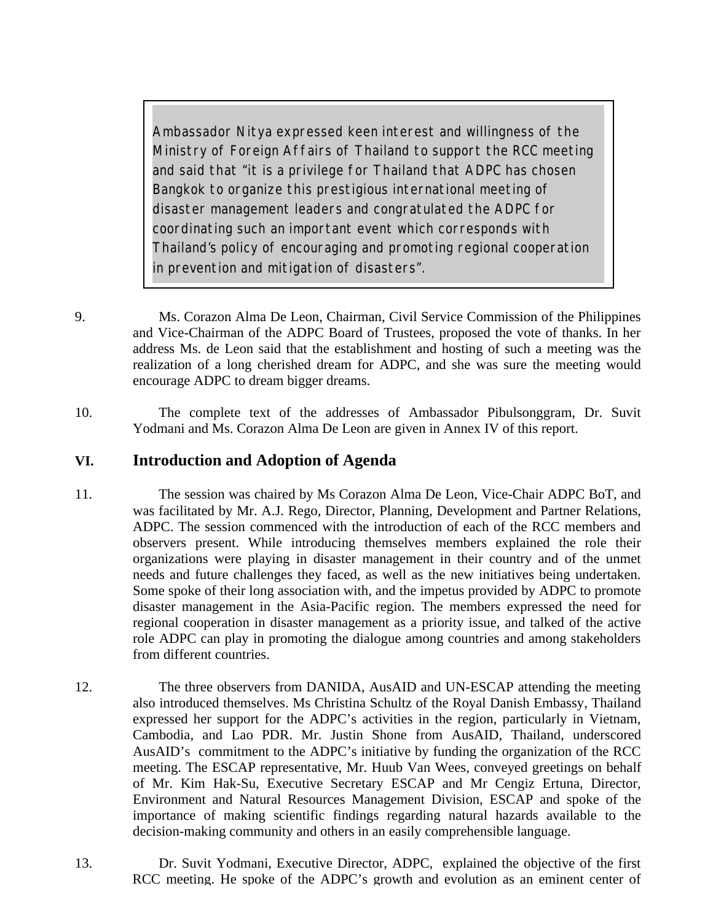*Ambassador Nitya expressed keen interest and willingness of the Ministry of Foreign Affairs of Thailand to support the RCC meeting and said that "it is a privilege for Thailand that ADPC has chosen Bangkok to organize this prestigious international meeting of disaster management leaders and congratulated the ADPC for coordinating such an important event which corresponds with Thailand's policy of encouraging and promoting regional cooperation in prevention and mitigation of disasters".*

- 9. Ms. Corazon Alma De Leon, Chairman, Civil Service Commission of the Philippines and Vice-Chairman of the ADPC Board of Trustees, proposed the vote of thanks. In her address Ms. de Leon said that the establishment and hosting of such a meeting was the realization of a long cherished dream for ADPC, and she was sure the meeting would encourage ADPC to dream bigger dreams.
- 10. The complete text of the addresses of Ambassador Pibulsonggram, Dr. Suvit Yodmani and Ms. Corazon Alma De Leon are given in Annex IV of this report.

## **VI. Introduction and Adoption of Agenda**

- 11. The session was chaired by Ms Corazon Alma De Leon, Vice-Chair ADPC BoT, and was facilitated by Mr. A.J. Rego, Director, Planning, Development and Partner Relations, ADPC. The session commenced with the introduction of each of the RCC members and observers present. While introducing themselves members explained the role their organizations were playing in disaster management in their country and of the unmet needs and future challenges they faced, as well as the new initiatives being undertaken. Some spoke of their long association with, and the impetus provided by ADPC to promote disaster management in the Asia-Pacific region. The members expressed the need for regional cooperation in disaster management as a priority issue, and talked of the active role ADPC can play in promoting the dialogue among countries and among stakeholders from different countries.
- 12. The three observers from DANIDA, AusAID and UN-ESCAP attending the meeting also introduced themselves. Ms Christina Schultz of the Royal Danish Embassy, Thailand expressed her support for the ADPC's activities in the region, particularly in Vietnam, Cambodia, and Lao PDR. Mr. Justin Shone from AusAID, Thailand, underscored AusAID's commitment to the ADPC's initiative by funding the organization of the RCC meeting. The ESCAP representative, Mr. Huub Van Wees, conveyed greetings on behalf of Mr. Kim Hak-Su, Executive Secretary ESCAP and Mr Cengiz Ertuna, Director, Environment and Natural Resources Management Division, ESCAP and spoke of the importance of making scientific findings regarding natural hazards available to the decision-making community and others in an easily comprehensible language.
- 13. Dr. Suvit Yodmani, Executive Director, ADPC, explained the objective of the first RCC meeting. He spoke of the ADPC's growth and evolution as an eminent center of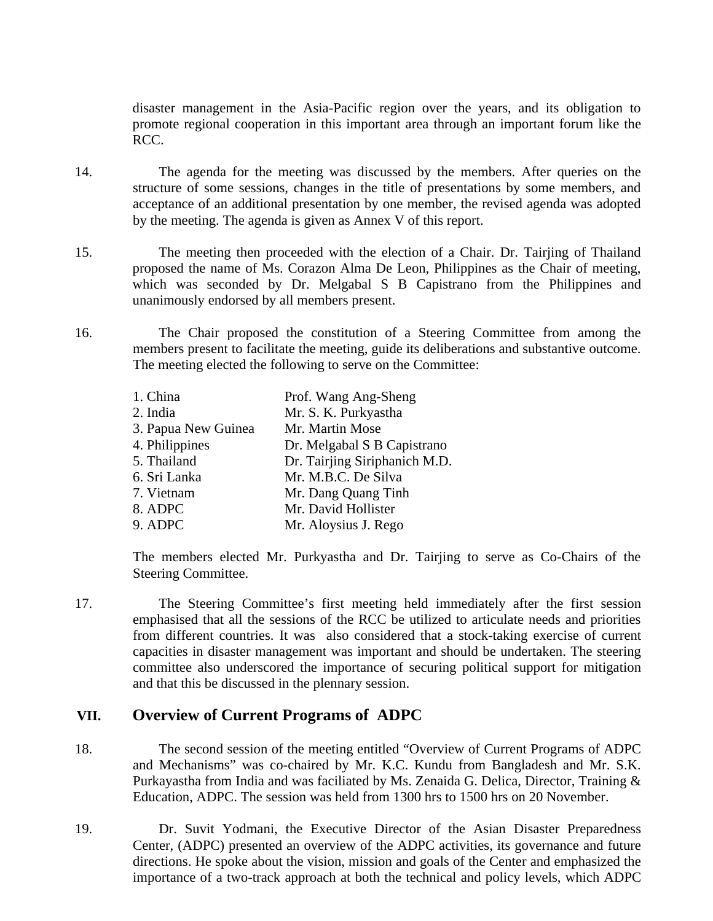disaster management in the Asia-Pacific region over the years, and its obligation to promote regional cooperation in this important area through an important forum like the RCC.

- 14. The agenda for the meeting was discussed by the members. After queries on the structure of some sessions, changes in the title of presentations by some members, and acceptance of an additional presentation by one member, the revised agenda was adopted by the meeting. The agenda is given as Annex V of this report.
- 15. The meeting then proceeded with the election of a Chair. Dr. Tairjing of Thailand proposed the name of Ms. Corazon Alma De Leon, Philippines as the Chair of meeting, which was seconded by Dr. Melgabal S B Capistrano from the Philippines and unanimously endorsed by all members present.
- 16. The Chair proposed the constitution of a Steering Committee from among the members present to facilitate the meeting, guide its deliberations and substantive outcome. The meeting elected the following to serve on the Committee:

| 1. China            | Prof. Wang Ang-Sheng          |
|---------------------|-------------------------------|
| 2. India            | Mr. S. K. Purkyastha          |
| 3. Papua New Guinea | Mr. Martin Mose               |
| 4. Philippines      | Dr. Melgabal S B Capistrano   |
| 5. Thailand         | Dr. Tairjing Siriphanich M.D. |
| 6. Sri Lanka        | Mr. M.B.C. De Silva           |
| 7. Vietnam          | Mr. Dang Quang Tinh           |
| 8. ADPC             | Mr. David Hollister           |
| 9. ADPC             | Mr. Aloysius J. Rego          |
|                     |                               |

The members elected Mr. Purkyastha and Dr. Tairjing to serve as Co-Chairs of the Steering Committee.

17. The Steering Committee's first meeting held immediately after the first session emphasised that all the sessions of the RCC be utilized to articulate needs and priorities from different countries. It was also considered that a stock-taking exercise of current capacities in disaster management was important and should be undertaken. The steering committee also underscored the importance of securing political support for mitigation and that this be discussed in the plennary session.

## **VII. Overview of Current Programs of ADPC**

18. The second session of the meeting entitled "Overview of Current Programs of ADPC and Mechanisms" was co-chaired by Mr. K.C. Kundu from Bangladesh and Mr. S.K. Purkayastha from India and was faciliated by Ms. Zenaida G. Delica, Director, Training & Education, ADPC. The session was held from 1300 hrs to 1500 hrs on 20 November.

19. Dr. Suvit Yodmani, the Executive Director of the Asian Disaster Preparedness Center, (ADPC) presented an overview of the ADPC activities, its governance and future directions. He spoke about the vision, mission and goals of the Center and emphasized the importance of a two-track approach at both the technical and policy levels, which ADPC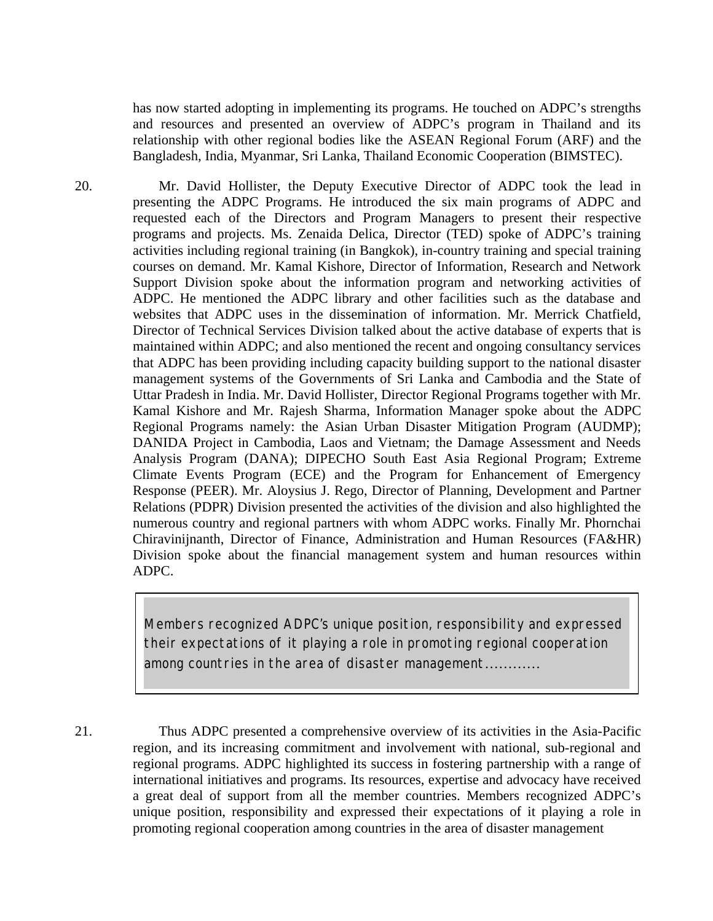has now started adopting in implementing its programs. He touched on ADPC's strengths and resources and presented an overview of ADPC's program in Thailand and its relationship with other regional bodies like the ASEAN Regional Forum (ARF) and the Bangladesh, India, Myanmar, Sri Lanka, Thailand Economic Cooperation (BIMSTEC).

20. Mr. David Hollister, the Deputy Executive Director of ADPC took the lead in presenting the ADPC Programs. He introduced the six main programs of ADPC and requested each of the Directors and Program Managers to present their respective programs and projects. Ms. Zenaida Delica, Director (TED) spoke of ADPC's training activities including regional training (in Bangkok), in-country training and special training courses on demand. Mr. Kamal Kishore, Director of Information, Research and Network Support Division spoke about the information program and networking activities of ADPC. He mentioned the ADPC library and other facilities such as the database and websites that ADPC uses in the dissemination of information. Mr. Merrick Chatfield, Director of Technical Services Division talked about the active database of experts that is maintained within ADPC; and also mentioned the recent and ongoing consultancy services that ADPC has been providing including capacity building support to the national disaster management systems of the Governments of Sri Lanka and Cambodia and the State of Uttar Pradesh in India. Mr. David Hollister, Director Regional Programs together with Mr. Kamal Kishore and Mr. Rajesh Sharma, Information Manager spoke about the ADPC Regional Programs namely: the Asian Urban Disaster Mitigation Program (AUDMP); DANIDA Project in Cambodia, Laos and Vietnam; the Damage Assessment and Needs Analysis Program (DANA); DIPECHO South East Asia Regional Program; Extreme Climate Events Program (ECE) and the Program for Enhancement of Emergency Response (PEER). Mr. Aloysius J. Rego, Director of Planning, Development and Partner Relations (PDPR) Division presented the activities of the division and also highlighted the numerous country and regional partners with whom ADPC works. Finally Mr. Phornchai Chiravinijnanth, Director of Finance, Administration and Human Resources (FA&HR) Division spoke about the financial management system and human resources within ADPC.

> *Members recognized ADPC's unique position, responsibility and expressed their expectations of it playing a role in promoting regional cooperation among countries in the area of disaster management*…………

21. Thus ADPC presented a comprehensive overview of its activities in the Asia-Pacific region, and its increasing commitment and involvement with national, sub-regional and regional programs. ADPC highlighted its success in fostering partnership with a range of international initiatives and programs. Its resources, expertise and advocacy have received a great deal of support from all the member countries. Members recognized ADPC's unique position, responsibility and expressed their expectations of it playing a role in promoting regional cooperation among countries in the area of disaster management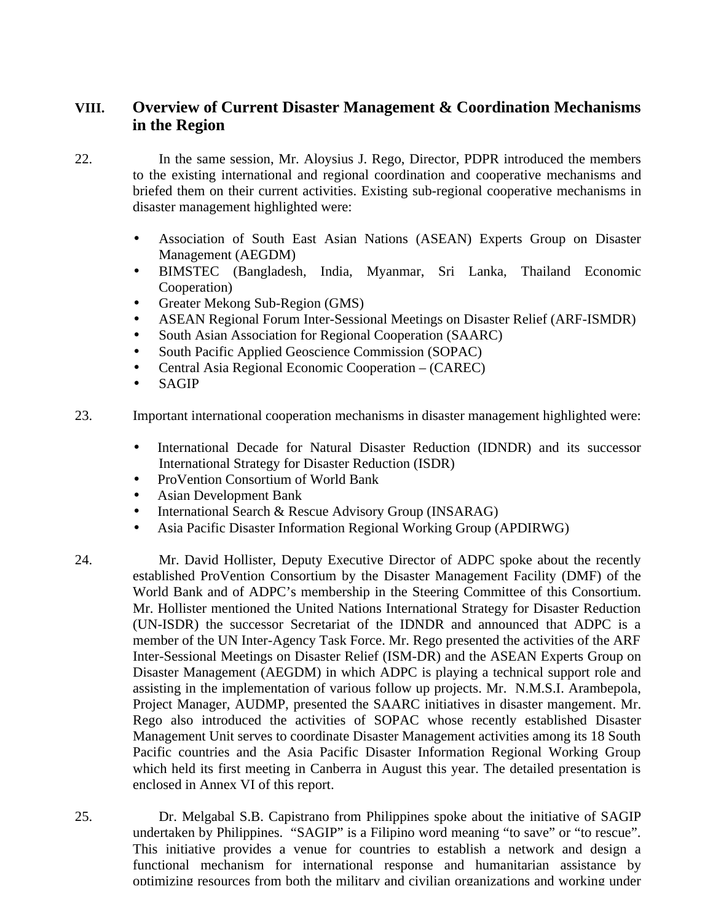# **VIII. Overview of Current Disaster Management & Coordination Mechanisms in the Region**

- 22. In the same session, Mr. Aloysius J. Rego, Director, PDPR introduced the members to the existing international and regional coordination and cooperative mechanisms and briefed them on their current activities. Existing sub-regional cooperative mechanisms in disaster management highlighted were:
	- Association of South East Asian Nations (ASEAN) Experts Group on Disaster Management (AEGDM)
	- BIMSTEC (Bangladesh, India, Myanmar, Sri Lanka, Thailand Economic Cooperation)
	- Greater Mekong Sub-Region (GMS)
	- ASEAN Regional Forum Inter-Sessional Meetings on Disaster Relief (ARF-ISMDR)
	- South Asian Association for Regional Cooperation (SAARC)
	- South Pacific Applied Geoscience Commission (SOPAC)
	- Central Asia Regional Economic Cooperation (CAREC)
	- **SAGIP**
- 23. Important international cooperation mechanisms in disaster management highlighted were:
	- International Decade for Natural Disaster Reduction (IDNDR) and its successor International Strategy for Disaster Reduction (ISDR)
	- ProVention Consortium of World Bank
	- Asian Development Bank
	- International Search & Rescue Advisory Group (INSARAG)
	- Asia Pacific Disaster Information Regional Working Group (APDIRWG)
- 24. Mr. David Hollister, Deputy Executive Director of ADPC spoke about the recently established ProVention Consortium by the Disaster Management Facility (DMF) of the World Bank and of ADPC's membership in the Steering Committee of this Consortium. Mr. Hollister mentioned the United Nations International Strategy for Disaster Reduction (UN-ISDR) the successor Secretariat of the IDNDR and announced that ADPC is a member of the UN Inter-Agency Task Force. Mr. Rego presented the activities of the ARF Inter-Sessional Meetings on Disaster Relief (ISM-DR) and the ASEAN Experts Group on Disaster Management (AEGDM) in which ADPC is playing a technical support role and assisting in the implementation of various follow up projects. Mr. N.M.S.I. Arambepola, Project Manager, AUDMP, presented the SAARC initiatives in disaster mangement. Mr. Rego also introduced the activities of SOPAC whose recently established Disaster Management Unit serves to coordinate Disaster Management activities among its 18 South Pacific countries and the Asia Pacific Disaster Information Regional Working Group which held its first meeting in Canberra in August this year. The detailed presentation is enclosed in Annex VI of this report.
- 25. Dr. Melgabal S.B. Capistrano from Philippines spoke about the initiative of SAGIP undertaken by Philippines. "SAGIP" is a Filipino word meaning "to save" or "to rescue". This initiative provides a venue for countries to establish a network and design a functional mechanism for international response and humanitarian assistance by optimizing resources from both the military and civilian organizations and working under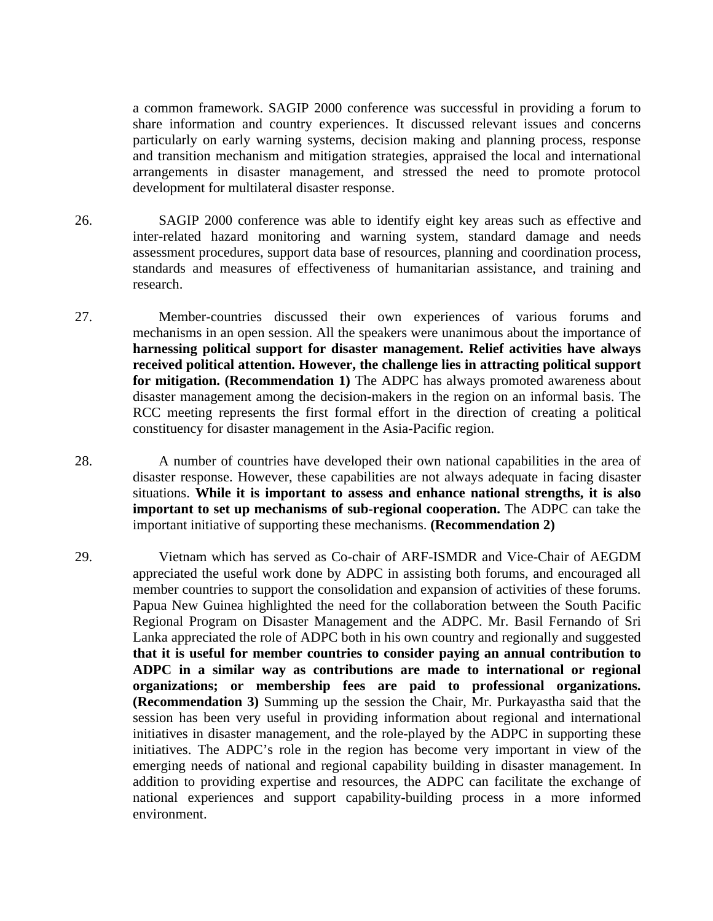a common framework. SAGIP 2000 conference was successful in providing a forum to share information and country experiences. It discussed relevant issues and concerns particularly on early warning systems, decision making and planning process, response and transition mechanism and mitigation strategies, appraised the local and international arrangements in disaster management, and stressed the need to promote protocol development for multilateral disaster response.

- 26. SAGIP 2000 conference was able to identify eight key areas such as effective and inter-related hazard monitoring and warning system, standard damage and needs assessment procedures, support data base of resources, planning and coordination process, standards and measures of effectiveness of humanitarian assistance, and training and research.
- 27. Member-countries discussed their own experiences of various forums and mechanisms in an open session. All the speakers were unanimous about the importance of **harnessing political support for disaster management. Relief activities have always received political attention. However, the challenge lies in attracting political support for mitigation. (Recommendation 1)** The ADPC has always promoted awareness about disaster management among the decision-makers in the region on an informal basis. The RCC meeting represents the first formal effort in the direction of creating a political constituency for disaster management in the Asia-Pacific region.
- 28. A number of countries have developed their own national capabilities in the area of disaster response. However, these capabilities are not always adequate in facing disaster situations. **While it is important to assess and enhance national strengths, it is also important to set up mechanisms of sub-regional cooperation.** The ADPC can take the important initiative of supporting these mechanisms. **(Recommendation 2)**
- 29. Vietnam which has served as Co-chair of ARF-ISMDR and Vice-Chair of AEGDM appreciated the useful work done by ADPC in assisting both forums, and encouraged all member countries to support the consolidation and expansion of activities of these forums. Papua New Guinea highlighted the need for the collaboration between the South Pacific Regional Program on Disaster Management and the ADPC. Mr. Basil Fernando of Sri Lanka appreciated the role of ADPC both in his own country and regionally and suggested **that it is useful for member countries to consider paying an annual contribution to ADPC in a similar way as contributions are made to international or regional organizations; or membership fees are paid to professional organizations. (Recommendation 3)** Summing up the session the Chair, Mr. Purkayastha said that the session has been very useful in providing information about regional and international initiatives in disaster management, and the role-played by the ADPC in supporting these initiatives. The ADPC's role in the region has become very important in view of the emerging needs of national and regional capability building in disaster management. In addition to providing expertise and resources, the ADPC can facilitate the exchange of national experiences and support capability-building process in a more informed environment.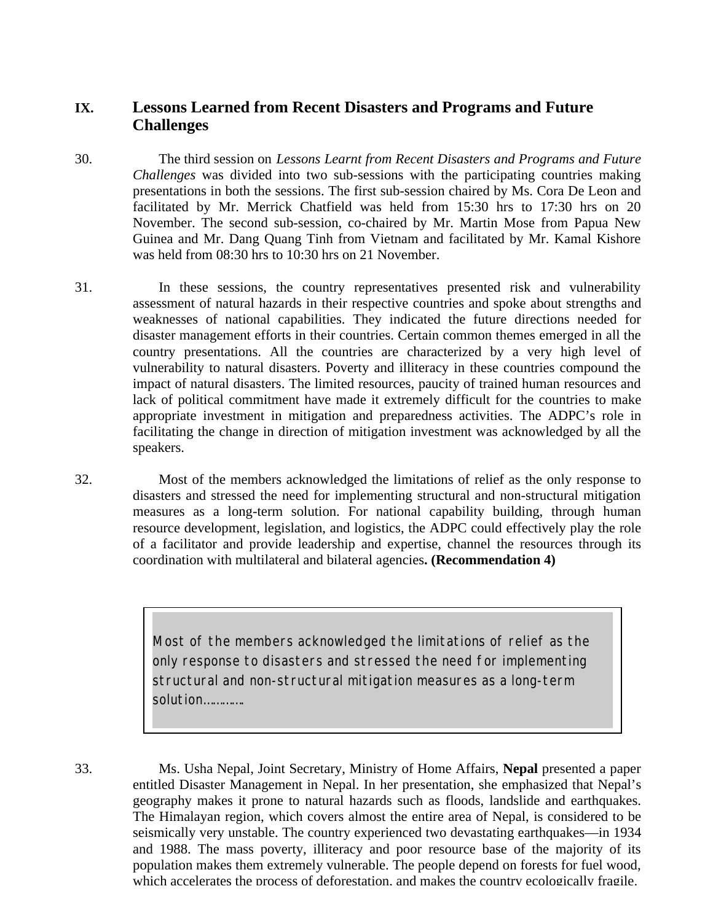## **IX. Lessons Learned from Recent Disasters and Programs and Future Challenges**

30. The third session on *Lessons Learnt from Recent Disasters and Programs and Future Challenges* was divided into two sub-sessions with the participating countries making presentations in both the sessions. The first sub-session chaired by Ms. Cora De Leon and facilitated by Mr. Merrick Chatfield was held from 15:30 hrs to 17:30 hrs on 20 November. The second sub-session, co-chaired by Mr. Martin Mose from Papua New Guinea and Mr. Dang Quang Tinh from Vietnam and facilitated by Mr. Kamal Kishore was held from 08:30 hrs to 10:30 hrs on 21 November.

- 31. In these sessions, the country representatives presented risk and vulnerability assessment of natural hazards in their respective countries and spoke about strengths and weaknesses of national capabilities. They indicated the future directions needed for disaster management efforts in their countries. Certain common themes emerged in all the country presentations. All the countries are characterized by a very high level of vulnerability to natural disasters. Poverty and illiteracy in these countries compound the impact of natural disasters. The limited resources, paucity of trained human resources and lack of political commitment have made it extremely difficult for the countries to make appropriate investment in mitigation and preparedness activities. The ADPC's role in facilitating the change in direction of mitigation investment was acknowledged by all the speakers.
- 32. Most of the members acknowledged the limitations of relief as the only response to disasters and stressed the need for implementing structural and non-structural mitigation measures as a long-term solution. For national capability building, through human resource development, legislation, and logistics, the ADPC could effectively play the role of a facilitator and provide leadership and expertise, channel the resources through its coordination with multilateral and bilateral agencies**. (Recommendation 4)**

*Most of the members acknowledged the limitations of relief as the only response to disasters and stressed the need for implementing structural and non-structural mitigation measures as a long-term solution………….*

33. Ms. Usha Nepal, Joint Secretary, Ministry of Home Affairs, **Nepal** presented a paper entitled Disaster Management in Nepal. In her presentation, she emphasized that Nepal's geography makes it prone to natural hazards such as floods, landslide and earthquakes. The Himalayan region, which covers almost the entire area of Nepal, is considered to be seismically very unstable. The country experienced two devastating earthquakes—in 1934 and 1988. The mass poverty, illiteracy and poor resource base of the majority of its population makes them extremely vulnerable. The people depend on forests for fuel wood, which accelerates the process of deforestation, and makes the country ecologically fragile.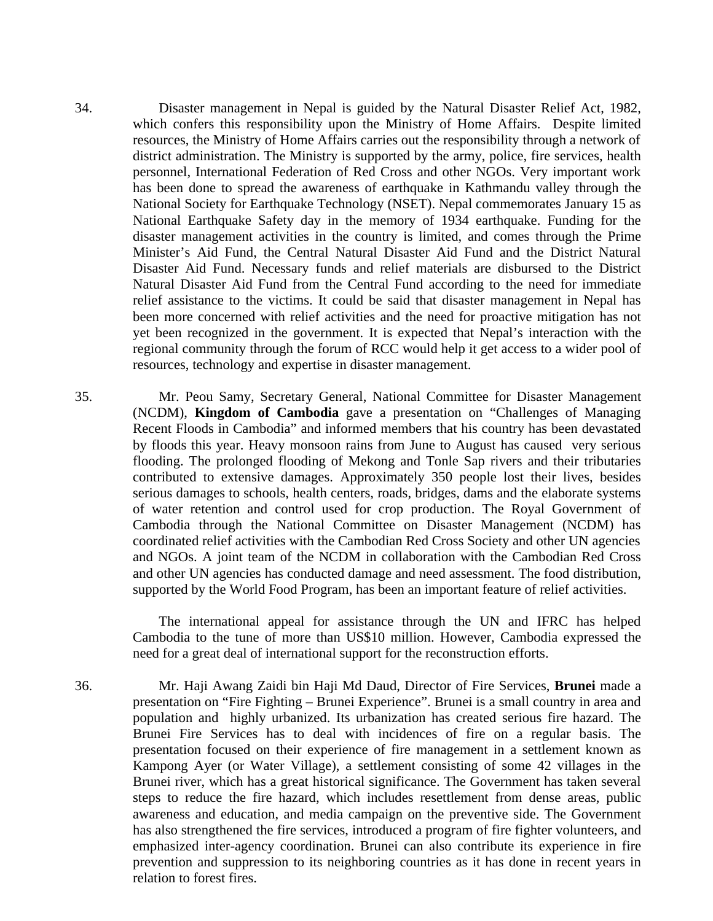34. Disaster management in Nepal is guided by the Natural Disaster Relief Act, 1982, which confers this responsibility upon the Ministry of Home Affairs. Despite limited resources, the Ministry of Home Affairs carries out the responsibility through a network of district administration. The Ministry is supported by the army, police, fire services, health personnel, International Federation of Red Cross and other NGOs. Very important work has been done to spread the awareness of earthquake in Kathmandu valley through the National Society for Earthquake Technology (NSET). Nepal commemorates January 15 as National Earthquake Safety day in the memory of 1934 earthquake. Funding for the disaster management activities in the country is limited, and comes through the Prime Minister's Aid Fund, the Central Natural Disaster Aid Fund and the District Natural Disaster Aid Fund. Necessary funds and relief materials are disbursed to the District Natural Disaster Aid Fund from the Central Fund according to the need for immediate relief assistance to the victims. It could be said that disaster management in Nepal has been more concerned with relief activities and the need for proactive mitigation has not yet been recognized in the government. It is expected that Nepal's interaction with the regional community through the forum of RCC would help it get access to a wider pool of resources, technology and expertise in disaster management.

35. Mr. Peou Samy, Secretary General, National Committee for Disaster Management (NCDM), **Kingdom of Cambodia** gave a presentation on "Challenges of Managing Recent Floods in Cambodia" and informed members that his country has been devastated by floods this year. Heavy monsoon rains from June to August has caused very serious flooding. The prolonged flooding of Mekong and Tonle Sap rivers and their tributaries contributed to extensive damages. Approximately 350 people lost their lives, besides serious damages to schools, health centers, roads, bridges, dams and the elaborate systems of water retention and control used for crop production. The Royal Government of Cambodia through the National Committee on Disaster Management (NCDM) has coordinated relief activities with the Cambodian Red Cross Society and other UN agencies and NGOs. A joint team of the NCDM in collaboration with the Cambodian Red Cross and other UN agencies has conducted damage and need assessment. The food distribution, supported by the World Food Program, has been an important feature of relief activities.

> The international appeal for assistance through the UN and IFRC has helped Cambodia to the tune of more than US\$10 million. However, Cambodia expressed the need for a great deal of international support for the reconstruction efforts.

36. Mr. Haji Awang Zaidi bin Haji Md Daud, Director of Fire Services, **Brunei** made a presentation on "Fire Fighting – Brunei Experience". Brunei is a small country in area and population and highly urbanized. Its urbanization has created serious fire hazard. The Brunei Fire Services has to deal with incidences of fire on a regular basis. The presentation focused on their experience of fire management in a settlement known as Kampong Ayer (or Water Village), a settlement consisting of some 42 villages in the Brunei river, which has a great historical significance. The Government has taken several steps to reduce the fire hazard, which includes resettlement from dense areas, public awareness and education, and media campaign on the preventive side. The Government has also strengthened the fire services, introduced a program of fire fighter volunteers, and emphasized inter-agency coordination. Brunei can also contribute its experience in fire prevention and suppression to its neighboring countries as it has done in recent years in relation to forest fires.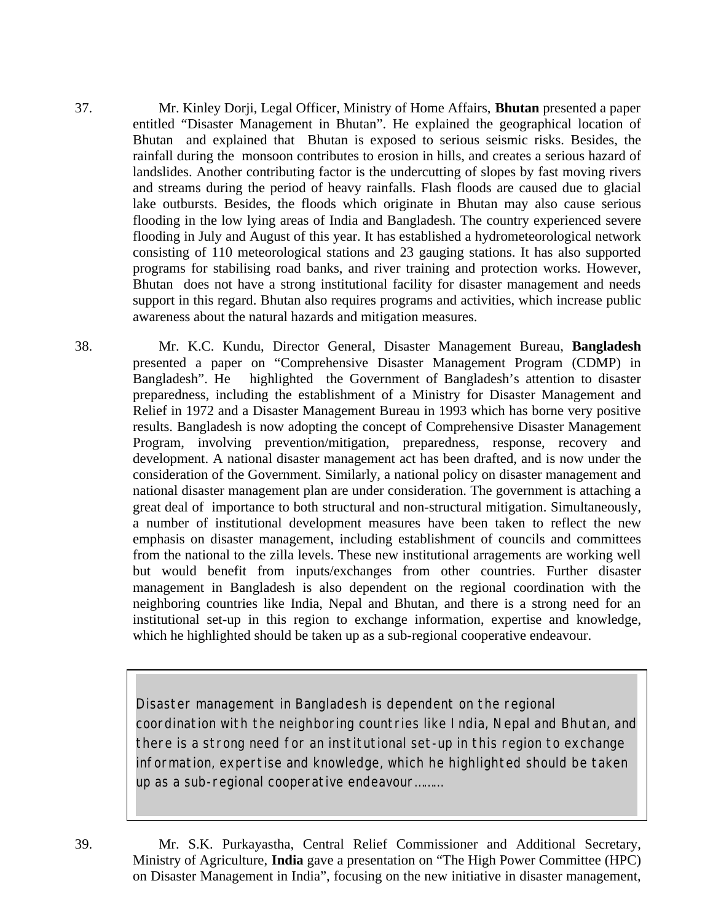37. Mr. Kinley Dorji, Legal Officer, Ministry of Home Affairs, **Bhutan** presented a paper entitled "Disaster Management in Bhutan". He explained the geographical location of Bhutan and explained that Bhutan is exposed to serious seismic risks. Besides, the rainfall during the monsoon contributes to erosion in hills, and creates a serious hazard of landslides. Another contributing factor is the undercutting of slopes by fast moving rivers and streams during the period of heavy rainfalls. Flash floods are caused due to glacial lake outbursts. Besides, the floods which originate in Bhutan may also cause serious flooding in the low lying areas of India and Bangladesh. The country experienced severe flooding in July and August of this year. It has established a hydrometeorological network consisting of 110 meteorological stations and 23 gauging stations. It has also supported programs for stabilising road banks, and river training and protection works. However, Bhutan does not have a strong institutional facility for disaster management and needs support in this regard. Bhutan also requires programs and activities, which increase public awareness about the natural hazards and mitigation measures.

38. Mr. K.C. Kundu, Director General, Disaster Management Bureau, **Bangladesh** presented a paper on "Comprehensive Disaster Management Program (CDMP) in Bangladesh". He highlighted the Government of Bangladesh's attention to disaster preparedness, including the establishment of a Ministry for Disaster Management and Relief in 1972 and a Disaster Management Bureau in 1993 which has borne very positive results. Bangladesh is now adopting the concept of Comprehensive Disaster Management Program, involving prevention/mitigation, preparedness, response, recovery and development. A national disaster management act has been drafted, and is now under the consideration of the Government. Similarly, a national policy on disaster management and national disaster management plan are under consideration. The government is attaching a great deal of importance to both structural and non-structural mitigation. Simultaneously, a number of institutional development measures have been taken to reflect the new emphasis on disaster management, including establishment of councils and committees from the national to the zilla levels. These new institutional arragements are working well but would benefit from inputs/exchanges from other countries. Further disaster management in Bangladesh is also dependent on the regional coordination with the neighboring countries like India, Nepal and Bhutan, and there is a strong need for an institutional set-up in this region to exchange information, expertise and knowledge, which he highlighted should be taken up as a sub-regional cooperative endeavour.

> *Disaster management in Bangladesh is dependent on the regional Disaster management in Bangladesh is dependent on the regional coordination with the neighboring countries like India, Nepal and Bhutan, coordination with the neighboring countries like India, Nepal and Bhutan, and and there is a strong need for an institutional set-up in this region to there is a strong need for an institutional set-up in this region to exchange exchange information, expertise and knowledge, which he highlighted information, expertise and knowledge, which he highlighted should be taken should be taken up as a sub-regional cooperative endeavour……… up as a sub-regional cooperative endeavour………*

39. Mr. S.K. Purkayastha, Central Relief Commissioner and Additional Secretary, Ministry of Agriculture, **India** gave a presentation on "The High Power Committee (HPC) on Disaster Management in India", focusing on the new initiative in disaster management,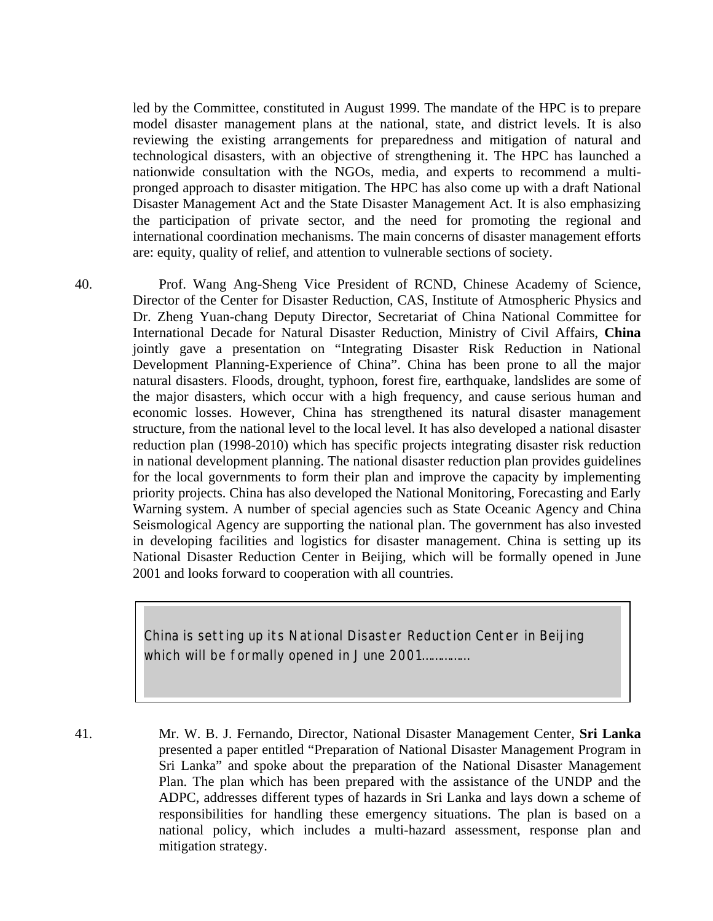led by the Committee, constituted in August 1999. The mandate of the HPC is to prepare model disaster management plans at the national, state, and district levels. It is also reviewing the existing arrangements for preparedness and mitigation of natural and technological disasters, with an objective of strengthening it. The HPC has launched a nationwide consultation with the NGOs, media, and experts to recommend a multipronged approach to disaster mitigation. The HPC has also come up with a draft National Disaster Management Act and the State Disaster Management Act. It is also emphasizing the participation of private sector, and the need for promoting the regional and international coordination mechanisms. The main concerns of disaster management efforts are: equity, quality of relief, and attention to vulnerable sections of society.

40. Prof. Wang Ang-Sheng Vice President of RCND, Chinese Academy of Science, Director of the Center for Disaster Reduction, CAS, Institute of Atmospheric Physics and Dr. Zheng Yuan-chang Deputy Director, Secretariat of China National Committee for International Decade for Natural Disaster Reduction, Ministry of Civil Affairs, **China** jointly gave a presentation on "Integrating Disaster Risk Reduction in National Development Planning-Experience of China". China has been prone to all the major natural disasters. Floods, drought, typhoon, forest fire, earthquake, landslides are some of the major disasters, which occur with a high frequency, and cause serious human and economic losses. However, China has strengthened its natural disaster management structure, from the national level to the local level. It has also developed a national disaster reduction plan (1998-2010) which has specific projects integrating disaster risk reduction in national development planning. The national disaster reduction plan provides guidelines for the local governments to form their plan and improve the capacity by implementing priority projects. China has also developed the National Monitoring, Forecasting and Early Warning system. A number of special agencies such as State Oceanic Agency and China Seismological Agency are supporting the national plan. The government has also invested in developing facilities and logistics for disaster management. China is setting up its National Disaster Reduction Center in Beijing, which will be formally opened in June 2001 and looks forward to cooperation with all countries.

> *China is setting up its National Disaster Reduction Center in Beijing which will be formally opened in June 2001……………*

41. Mr. W. B. J. Fernando, Director, National Disaster Management Center, **Sri Lanka** presented a paper entitled "Preparation of National Disaster Management Program in Sri Lanka" and spoke about the preparation of the National Disaster Management Plan. The plan which has been prepared with the assistance of the UNDP and the ADPC, addresses different types of hazards in Sri Lanka and lays down a scheme of responsibilities for handling these emergency situations. The plan is based on a national policy, which includes a multi-hazard assessment, response plan and mitigation strategy.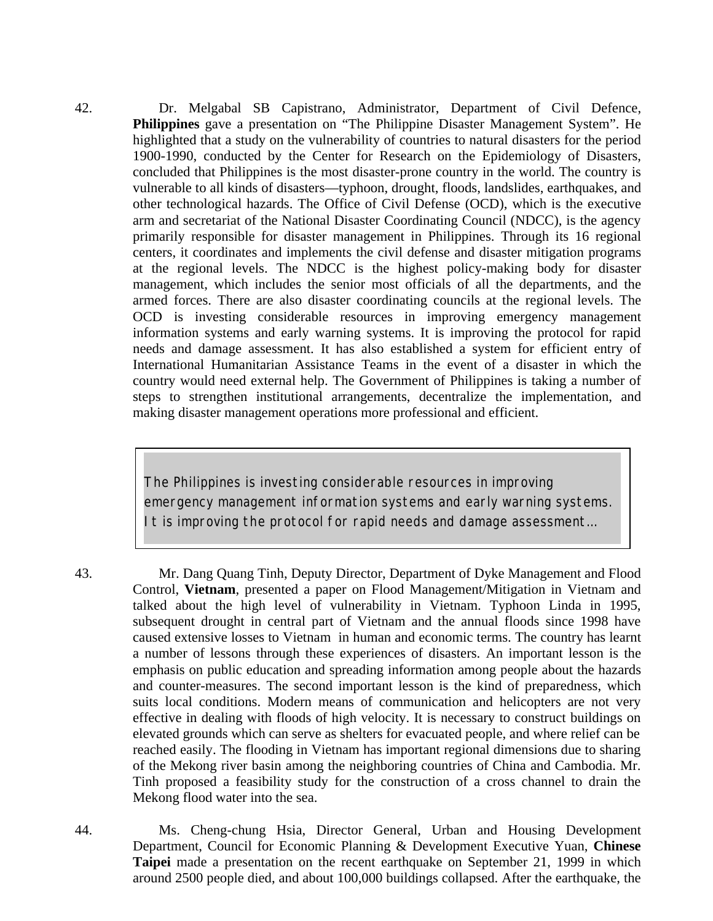42. Dr. Melgabal SB Capistrano, Administrator, Department of Civil Defence, **Philippines** gave a presentation on "The Philippine Disaster Management System". He highlighted that a study on the vulnerability of countries to natural disasters for the period 1900-1990, conducted by the Center for Research on the Epidemiology of Disasters, concluded that Philippines is the most disaster-prone country in the world. The country is vulnerable to all kinds of disasters—typhoon, drought, floods, landslides, earthquakes, and other technological hazards. The Office of Civil Defense (OCD), which is the executive arm and secretariat of the National Disaster Coordinating Council (NDCC), is the agency primarily responsible for disaster management in Philippines. Through its 16 regional centers, it coordinates and implements the civil defense and disaster mitigation programs at the regional levels. The NDCC is the highest policy-making body for disaster management, which includes the senior most officials of all the departments, and the armed forces. There are also disaster coordinating councils at the regional levels. The OCD is investing considerable resources in improving emergency management information systems and early warning systems. It is improving the protocol for rapid needs and damage assessment. It has also established a system for efficient entry of International Humanitarian Assistance Teams in the event of a disaster in which the country would need external help. The Government of Philippines is taking a number of steps to strengthen institutional arrangements, decentralize the implementation, and making disaster management operations more professional and efficient.

> *The Philippines is investing considerable resources in improving emergency management information systems and early warning systems. It is improving the protocol for rapid needs and damage assessment…*

43. Mr. Dang Quang Tinh, Deputy Director, Department of Dyke Management and Flood Control, **Vietnam**, presented a paper on Flood Management/Mitigation in Vietnam and talked about the high level of vulnerability in Vietnam. Typhoon Linda in 1995, subsequent drought in central part of Vietnam and the annual floods since 1998 have caused extensive losses to Vietnam in human and economic terms. The country has learnt a number of lessons through these experiences of disasters. An important lesson is the emphasis on public education and spreading information among people about the hazards and counter-measures. The second important lesson is the kind of preparedness, which suits local conditions. Modern means of communication and helicopters are not very effective in dealing with floods of high velocity. It is necessary to construct buildings on elevated grounds which can serve as shelters for evacuated people, and where relief can be reached easily. The flooding in Vietnam has important regional dimensions due to sharing of the Mekong river basin among the neighboring countries of China and Cambodia. Mr. Tinh proposed a feasibility study for the construction of a cross channel to drain the Mekong flood water into the sea.

44. Ms. Cheng-chung Hsia, Director General, Urban and Housing Development Department, Council for Economic Planning & Development Executive Yuan, **Chinese Taipei** made a presentation on the recent earthquake on September 21, 1999 in which around 2500 people died, and about 100,000 buildings collapsed. After the earthquake, the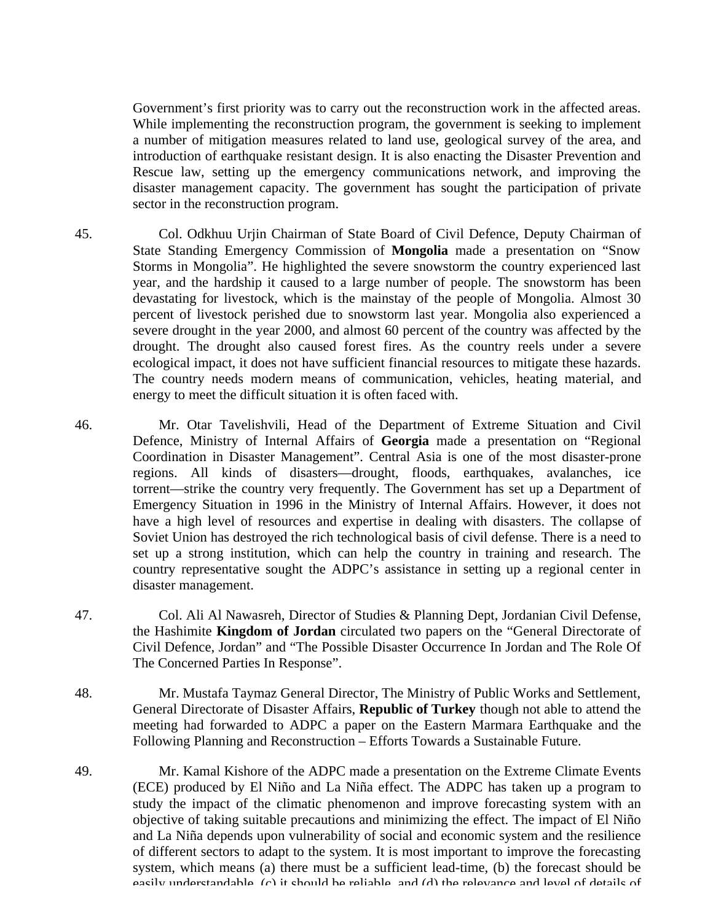Government's first priority was to carry out the reconstruction work in the affected areas. While implementing the reconstruction program, the government is seeking to implement a number of mitigation measures related to land use, geological survey of the area, and introduction of earthquake resistant design. It is also enacting the Disaster Prevention and Rescue law, setting up the emergency communications network, and improving the disaster management capacity. The government has sought the participation of private sector in the reconstruction program.

- 45. Col. Odkhuu Urjin Chairman of State Board of Civil Defence, Deputy Chairman of State Standing Emergency Commission of **Mongolia** made a presentation on "Snow Storms in Mongolia". He highlighted the severe snowstorm the country experienced last year, and the hardship it caused to a large number of people. The snowstorm has been devastating for livestock, which is the mainstay of the people of Mongolia. Almost 30 percent of livestock perished due to snowstorm last year. Mongolia also experienced a severe drought in the year 2000, and almost 60 percent of the country was affected by the drought. The drought also caused forest fires. As the country reels under a severe ecological impact, it does not have sufficient financial resources to mitigate these hazards. The country needs modern means of communication, vehicles, heating material, and energy to meet the difficult situation it is often faced with.
- 46. Mr. Otar Tavelishvili, Head of the Department of Extreme Situation and Civil Defence, Ministry of Internal Affairs of **Georgia** made a presentation on "Regional Coordination in Disaster Management". Central Asia is one of the most disaster-prone regions. All kinds of disasters—drought, floods, earthquakes, avalanches, ice torrent—strike the country very frequently. The Government has set up a Department of Emergency Situation in 1996 in the Ministry of Internal Affairs. However, it does not have a high level of resources and expertise in dealing with disasters. The collapse of Soviet Union has destroyed the rich technological basis of civil defense. There is a need to set up a strong institution, which can help the country in training and research. The country representative sought the ADPC's assistance in setting up a regional center in disaster management.
- 47. Col. Ali Al Nawasreh, Director of Studies & Planning Dept, Jordanian Civil Defense, the Hashimite **Kingdom of Jordan** circulated two papers on the "General Directorate of Civil Defence, Jordan" and "The Possible Disaster Occurrence In Jordan and The Role Of The Concerned Parties In Response".
- 48. Mr. Mustafa Taymaz General Director, The Ministry of Public Works and Settlement, General Directorate of Disaster Affairs, **Republic of Turkey** though not able to attend the meeting had forwarded to ADPC a paper on the Eastern Marmara Earthquake and the Following Planning and Reconstruction – Efforts Towards a Sustainable Future.
- 49. Mr. Kamal Kishore of the ADPC made a presentation on the Extreme Climate Events (ECE) produced by El Niño and La Niña effect. The ADPC has taken up a program to study the impact of the climatic phenomenon and improve forecasting system with an objective of taking suitable precautions and minimizing the effect. The impact of El Niño and La Niña depends upon vulnerability of social and economic system and the resilience of different sectors to adapt to the system. It is most important to improve the forecasting system, which means (a) there must be a sufficient lead-time, (b) the forecast should be easily understandable, (c) it should be reliable, and (d) the relevance and level of details of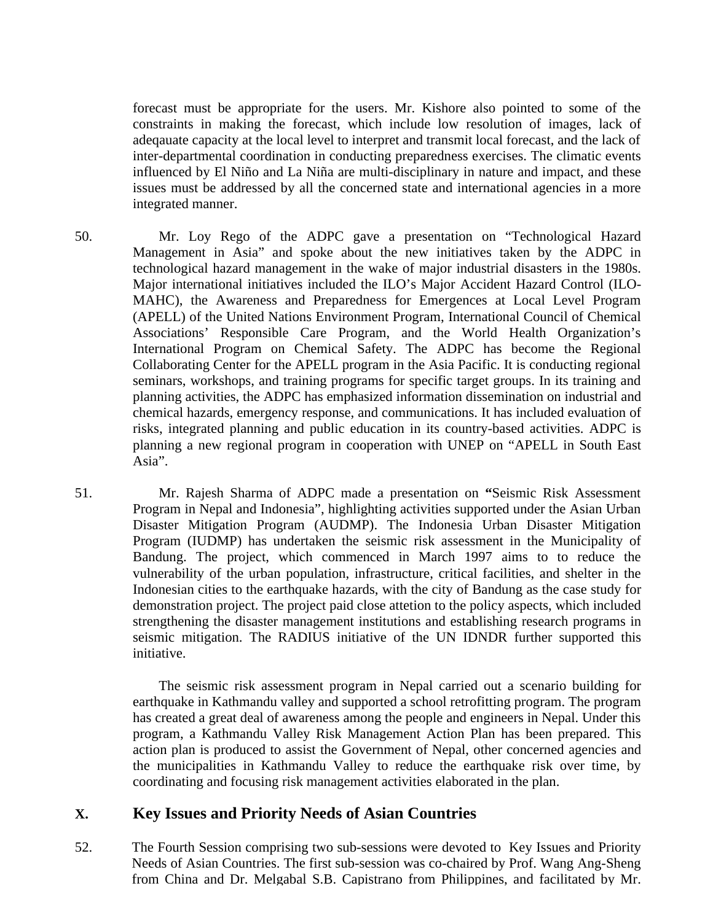forecast must be appropriate for the users. Mr. Kishore also pointed to some of the constraints in making the forecast, which include low resolution of images, lack of adeqauate capacity at the local level to interpret and transmit local forecast, and the lack of inter-departmental coordination in conducting preparedness exercises. The climatic events influenced by El Niño and La Niña are multi-disciplinary in nature and impact, and these issues must be addressed by all the concerned state and international agencies in a more integrated manner.

- 50. Mr. Loy Rego of the ADPC gave a presentation on "Technological Hazard Management in Asia" and spoke about the new initiatives taken by the ADPC in technological hazard management in the wake of major industrial disasters in the 1980s. Major international initiatives included the ILO's Major Accident Hazard Control (ILO-MAHC), the Awareness and Preparedness for Emergences at Local Level Program (APELL) of the United Nations Environment Program, International Council of Chemical Associations' Responsible Care Program, and the World Health Organization's International Program on Chemical Safety. The ADPC has become the Regional Collaborating Center for the APELL program in the Asia Pacific. It is conducting regional seminars, workshops, and training programs for specific target groups. In its training and planning activities, the ADPC has emphasized information dissemination on industrial and chemical hazards, emergency response, and communications. It has included evaluation of risks, integrated planning and public education in its country-based activities. ADPC is planning a new regional program in cooperation with UNEP on "APELL in South East Asia".
- 51. Mr. Rajesh Sharma of ADPC made a presentation on **"**Seismic Risk Assessment Program in Nepal and Indonesia", highlighting activities supported under the Asian Urban Disaster Mitigation Program (AUDMP). The Indonesia Urban Disaster Mitigation Program (IUDMP) has undertaken the seismic risk assessment in the Municipality of Bandung. The project, which commenced in March 1997 aims to to reduce the vulnerability of the urban population, infrastructure, critical facilities, and shelter in the Indonesian cities to the earthquake hazards, with the city of Bandung as the case study for demonstration project. The project paid close attetion to the policy aspects, which included strengthening the disaster management institutions and establishing research programs in seismic mitigation. The RADIUS initiative of the UN IDNDR further supported this initiative.

The seismic risk assessment program in Nepal carried out a scenario building for earthquake in Kathmandu valley and supported a school retrofitting program. The program has created a great deal of awareness among the people and engineers in Nepal. Under this program, a Kathmandu Valley Risk Management Action Plan has been prepared. This action plan is produced to assist the Government of Nepal, other concerned agencies and the municipalities in Kathmandu Valley to reduce the earthquake risk over time, by coordinating and focusing risk management activities elaborated in the plan.

## **X. Key Issues and Priority Needs of Asian Countries**

52. The Fourth Session comprising two sub-sessions were devoted to Key Issues and Priority Needs of Asian Countries. The first sub-session was co-chaired by Prof. Wang Ang-Sheng from China and Dr. Melgabal S.B. Capistrano from Philippines, and facilitated by Mr.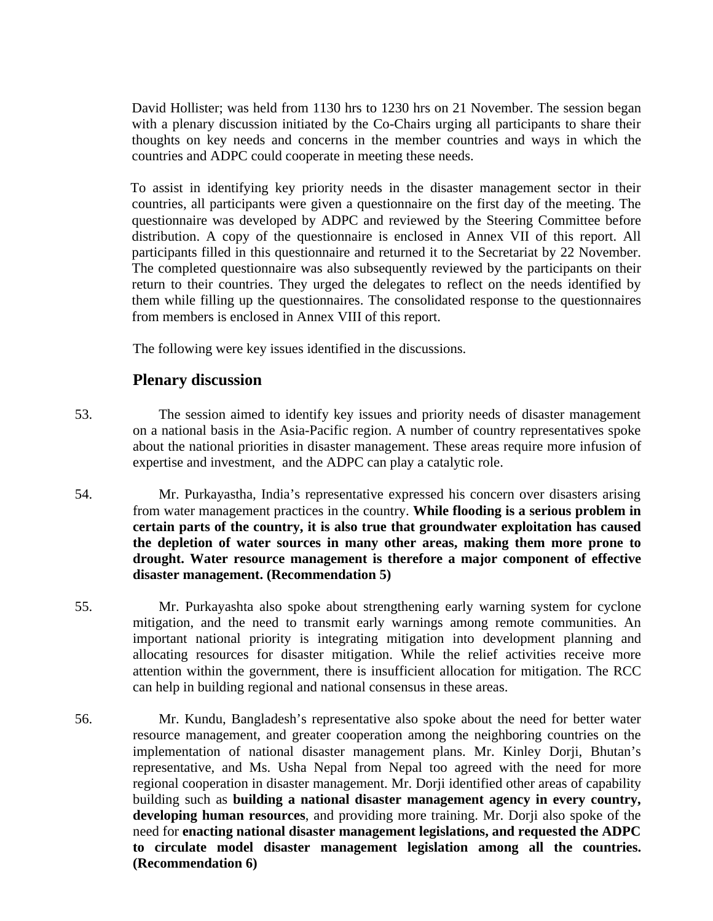David Hollister; was held from 1130 hrs to 1230 hrs on 21 November. The session began with a plenary discussion initiated by the Co-Chairs urging all participants to share their thoughts on key needs and concerns in the member countries and ways in which the countries and ADPC could cooperate in meeting these needs.

To assist in identifying key priority needs in the disaster management sector in their countries, all participants were given a questionnaire on the first day of the meeting. The questionnaire was developed by ADPC and reviewed by the Steering Committee before distribution. A copy of the questionnaire is enclosed in Annex VII of this report. All participants filled in this questionnaire and returned it to the Secretariat by 22 November. The completed questionnaire was also subsequently reviewed by the participants on their return to their countries. They urged the delegates to reflect on the needs identified by them while filling up the questionnaires. The consolidated response to the questionnaires from members is enclosed in Annex VIII of this report.

The following were key issues identified in the discussions.

# **Plenary discussion**

- 53. The session aimed to identify key issues and priority needs of disaster management on a national basis in the Asia-Pacific region. A number of country representatives spoke about the national priorities in disaster management. These areas require more infusion of expertise and investment, and the ADPC can play a catalytic role.
- 54. Mr. Purkayastha, India's representative expressed his concern over disasters arising from water management practices in the country. **While flooding is a serious problem in certain parts of the country, it is also true that groundwater exploitation has caused the depletion of water sources in many other areas, making them more prone to drought. Water resource management is therefore a major component of effective disaster management. (Recommendation 5)**
- 55. Mr. Purkayashta also spoke about strengthening early warning system for cyclone mitigation, and the need to transmit early warnings among remote communities. An important national priority is integrating mitigation into development planning and allocating resources for disaster mitigation. While the relief activities receive more attention within the government, there is insufficient allocation for mitigation. The RCC can help in building regional and national consensus in these areas.
- 56. Mr. Kundu, Bangladesh's representative also spoke about the need for better water resource management, and greater cooperation among the neighboring countries on the implementation of national disaster management plans. Mr. Kinley Dorji, Bhutan's representative, and Ms. Usha Nepal from Nepal too agreed with the need for more regional cooperation in disaster management. Mr. Dorji identified other areas of capability building such as **building a national disaster management agency in every country, developing human resources**, and providing more training. Mr. Dorji also spoke of the need for **enacting national disaster management legislations, and requested the ADPC to circulate model disaster management legislation among all the countries. (Recommendation 6)**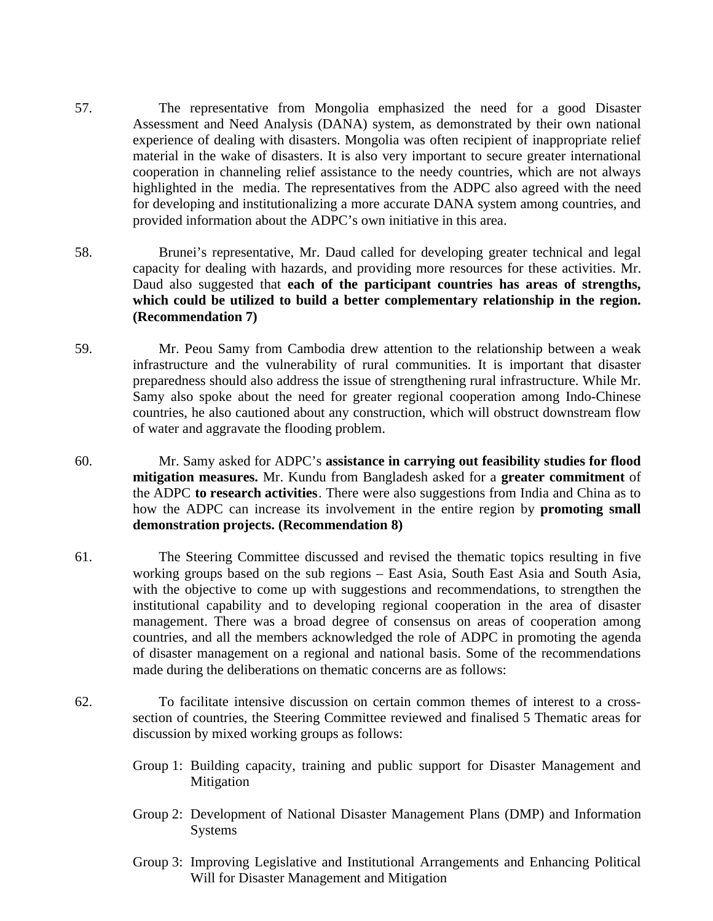- 57. The representative from Mongolia emphasized the need for a good Disaster Assessment and Need Analysis (DANA) system, as demonstrated by their own national experience of dealing with disasters. Mongolia was often recipient of inappropriate relief material in the wake of disasters. It is also very important to secure greater international cooperation in channeling relief assistance to the needy countries, which are not always highlighted in the media. The representatives from the ADPC also agreed with the need for developing and institutionalizing a more accurate DANA system among countries, and provided information about the ADPC's own initiative in this area.
- 58. Brunei's representative, Mr. Daud called for developing greater technical and legal capacity for dealing with hazards, and providing more resources for these activities. Mr. Daud also suggested that **each of the participant countries has areas of strengths, which could be utilized to build a better complementary relationship in the region. (Recommendation 7)**
- 59. Mr. Peou Samy from Cambodia drew attention to the relationship between a weak infrastructure and the vulnerability of rural communities. It is important that disaster preparedness should also address the issue of strengthening rural infrastructure. While Mr. Samy also spoke about the need for greater regional cooperation among Indo-Chinese countries, he also cautioned about any construction, which will obstruct downstream flow of water and aggravate the flooding problem.
- 60. Mr. Samy asked for ADPC's **assistance in carrying out feasibility studies for flood mitigation measures.** Mr. Kundu from Bangladesh asked for a **greater commitment** of the ADPC **to research activities**. There were also suggestions from India and China as to how the ADPC can increase its involvement in the entire region by **promoting small demonstration projects. (Recommendation 8)**
- 61. The Steering Committee discussed and revised the thematic topics resulting in five working groups based on the sub regions – East Asia, South East Asia and South Asia, with the objective to come up with suggestions and recommendations, to strengthen the institutional capability and to developing regional cooperation in the area of disaster management. There was a broad degree of consensus on areas of cooperation among countries, and all the members acknowledged the role of ADPC in promoting the agenda of disaster management on a regional and national basis. Some of the recommendations made during the deliberations on thematic concerns are as follows:
- 62. To facilitate intensive discussion on certain common themes of interest to a crosssection of countries, the Steering Committee reviewed and finalised 5 Thematic areas for discussion by mixed working groups as follows:
	- Group 1: Building capacity, training and public support for Disaster Management and Mitigation
	- Group 2: Development of National Disaster Management Plans (DMP) and Information Systems
	- Group 3: Improving Legislative and Institutional Arrangements and Enhancing Political Will for Disaster Management and Mitigation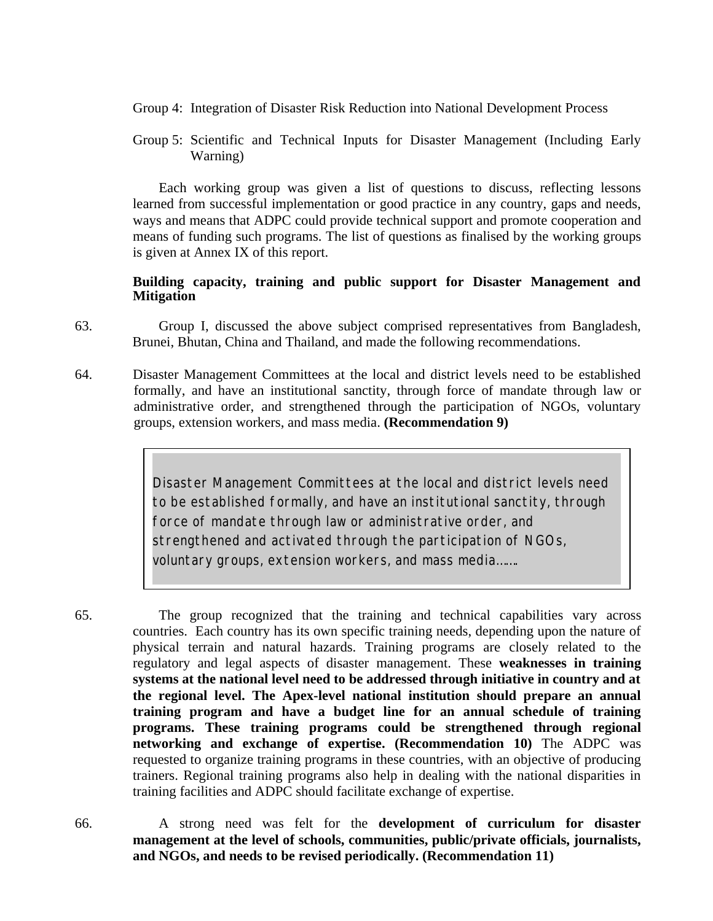- Group 4: Integration of Disaster Risk Reduction into National Development Process
- Group 5: Scientific and Technical Inputs for Disaster Management (Including Early Warning)

Each working group was given a list of questions to discuss, reflecting lessons learned from successful implementation or good practice in any country, gaps and needs, ways and means that ADPC could provide technical support and promote cooperation and means of funding such programs. The list of questions as finalised by the working groups is given at Annex IX of this report.

#### **Building capacity, training and public support for Disaster Management and Mitigation**

- 63. Group I, discussed the above subject comprised representatives from Bangladesh, Brunei, Bhutan, China and Thailand, and made the following recommendations.
- 64. Disaster Management Committees at the local and district levels need to be established formally, and have an institutional sanctity, through force of mandate through law or administrative order, and strengthened through the participation of NGOs, voluntary groups, extension workers, and mass media. **(Recommendation 9)**

*Disaster Management Committees at the local and district levels need to be established formally, and have an institutional sanctity, through force of mandate through law or administrative order, and strengthened and activated through the participation of NGOs, voluntary groups, extension workers, and mass media…….*

65. The group recognized that the training and technical capabilities vary across countries. Each country has its own specific training needs, depending upon the nature of physical terrain and natural hazards. Training programs are closely related to the regulatory and legal aspects of disaster management. These **weaknesses in training systems at the national level need to be addressed through initiative in country and at the regional level. The Apex-level national institution should prepare an annual training program and have a budget line for an annual schedule of training programs. These training programs could be strengthened through regional networking and exchange of expertise. (Recommendation 10)** The ADPC was requested to organize training programs in these countries, with an objective of producing trainers. Regional training programs also help in dealing with the national disparities in training facilities and ADPC should facilitate exchange of expertise.

66. A strong need was felt for the **development of curriculum for disaster management at the level of schools, communities, public/private officials, journalists, and NGOs, and needs to be revised periodically. (Recommendation 11)**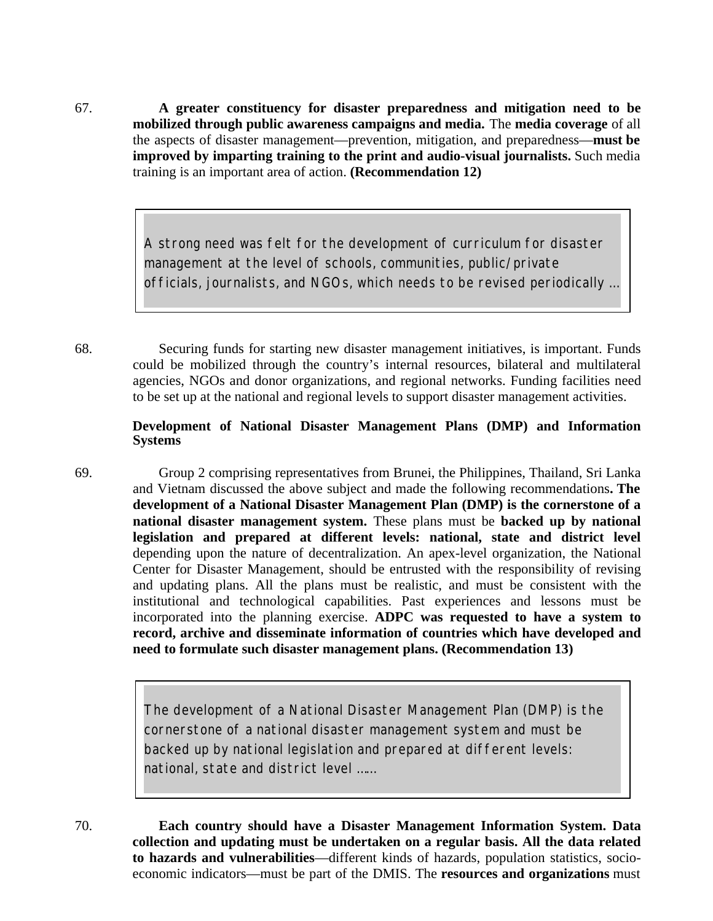67. **A greater constituency for disaster preparedness and mitigation need to be mobilized through public awareness campaigns and media.** The **media coverage** of all the aspects of disaster management—prevention, mitigation, and preparedness—**must be improved by imparting training to the print and audio-visual journalists.** Such media training is an important area of action. **(Recommendation 12)**

> *A strong need was felt for the development of curriculum for disaster management at the level of schools, communities, public/private officials, journalists, and NGOs, which needs to be revised periodically …*

68. Securing funds for starting new disaster management initiatives, is important. Funds could be mobilized through the country's internal resources, bilateral and multilateral agencies, NGOs and donor organizations, and regional networks. Funding facilities need to be set up at the national and regional levels to support disaster management activities.

#### **Development of National Disaster Management Plans (DMP) and Information Systems**

69. Group 2 comprising representatives from Brunei, the Philippines, Thailand, Sri Lanka and Vietnam discussed the above subject and made the following recommendations**. The development of a National Disaster Management Plan (DMP) is the cornerstone of a national disaster management system.** These plans must be **backed up by national legislation and prepared at different levels: national, state and district level** depending upon the nature of decentralization. An apex-level organization, the National Center for Disaster Management, should be entrusted with the responsibility of revising and updating plans. All the plans must be realistic, and must be consistent with the institutional and technological capabilities. Past experiences and lessons must be incorporated into the planning exercise. **ADPC was requested to have a system to record, archive and disseminate information of countries which have developed and need to formulate such disaster management plans. (Recommendation 13)**

> *The development of a National Disaster Management Plan (DMP) is the cornerstone of a national disaster management system and must be backed up by national legislation and prepared at different levels: national, state and district level ……*

70. **Each country should have a Disaster Management Information System. Data collection and updating must be undertaken on a regular basis. All the data related to hazards and vulnerabilities**—different kinds of hazards, population statistics, socioeconomic indicators—must be part of the DMIS. The **resources and organizations** must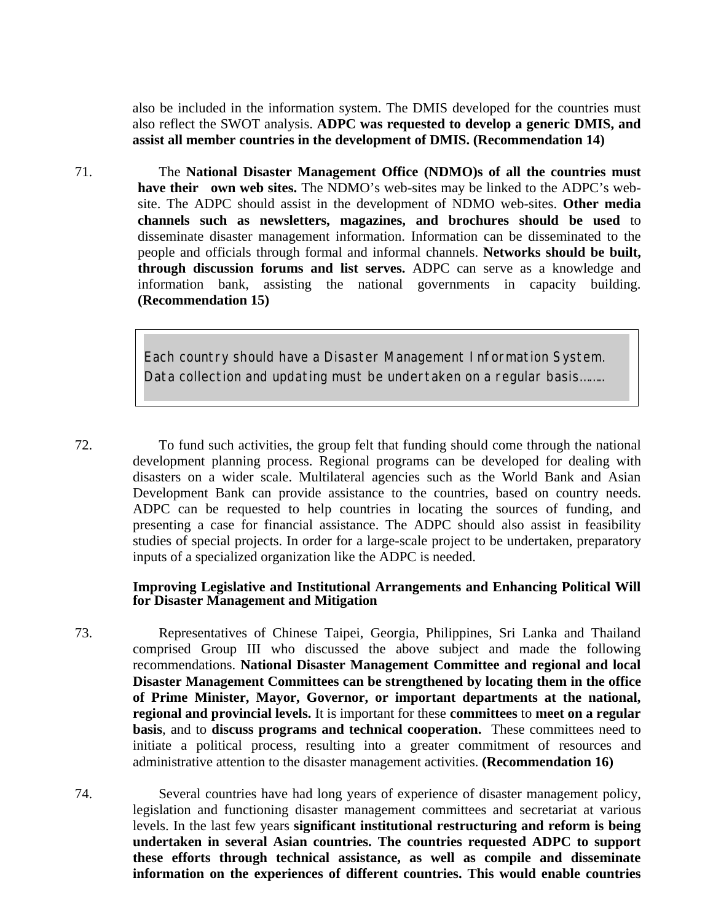also be included in the information system. The DMIS developed for the countries must also reflect the SWOT analysis. **ADPC was requested to develop a generic DMIS, and assist all member countries in the development of DMIS. (Recommendation 14)**

71. The **National Disaster Management Office (NDMO)s of all the countries must have their own web sites.** The NDMO's web-sites may be linked to the ADPC's website. The ADPC should assist in the development of NDMO web-sites. **Other media channels such as newsletters, magazines, and brochures should be used** to disseminate disaster management information. Information can be disseminated to the people and officials through formal and informal channels. **Networks should be built, through discussion forums and list serves.** ADPC can serve as a knowledge and information bank, assisting the national governments in capacity building. **(Recommendation 15)**

> *Each country should have a Disaster Management Information System. Data collection and updating must be undertaken on a regular basis……..*

72. To fund such activities, the group felt that funding should come through the national development planning process. Regional programs can be developed for dealing with disasters on a wider scale. Multilateral agencies such as the World Bank and Asian Development Bank can provide assistance to the countries, based on country needs. ADPC can be requested to help countries in locating the sources of funding, and presenting a case for financial assistance. The ADPC should also assist in feasibility studies of special projects. In order for a large-scale project to be undertaken, preparatory inputs of a specialized organization like the ADPC is needed.

#### **Improving Legislative and Institutional Arrangements and Enhancing Political Will for Disaster Management and Mitigation**

73. Representatives of Chinese Taipei, Georgia, Philippines, Sri Lanka and Thailand comprised Group III who discussed the above subject and made the following recommendations. **National Disaster Management Committee and regional and local Disaster Management Committees can be strengthened by locating them in the office of Prime Minister, Mayor, Governor, or important departments at the national, regional and provincial levels.** It is important for these **committees** to **meet on a regular basis**, and to **discuss programs and technical cooperation.** These committees need to initiate a political process, resulting into a greater commitment of resources and administrative attention to the disaster management activities. **(Recommendation 16)**

74. Several countries have had long years of experience of disaster management policy, legislation and functioning disaster management committees and secretariat at various levels. In the last few years **significant institutional restructuring and reform is being undertaken in several Asian countries. The countries requested ADPC to support these efforts through technical assistance, as well as compile and disseminate information on the experiences of different countries. This would enable countries**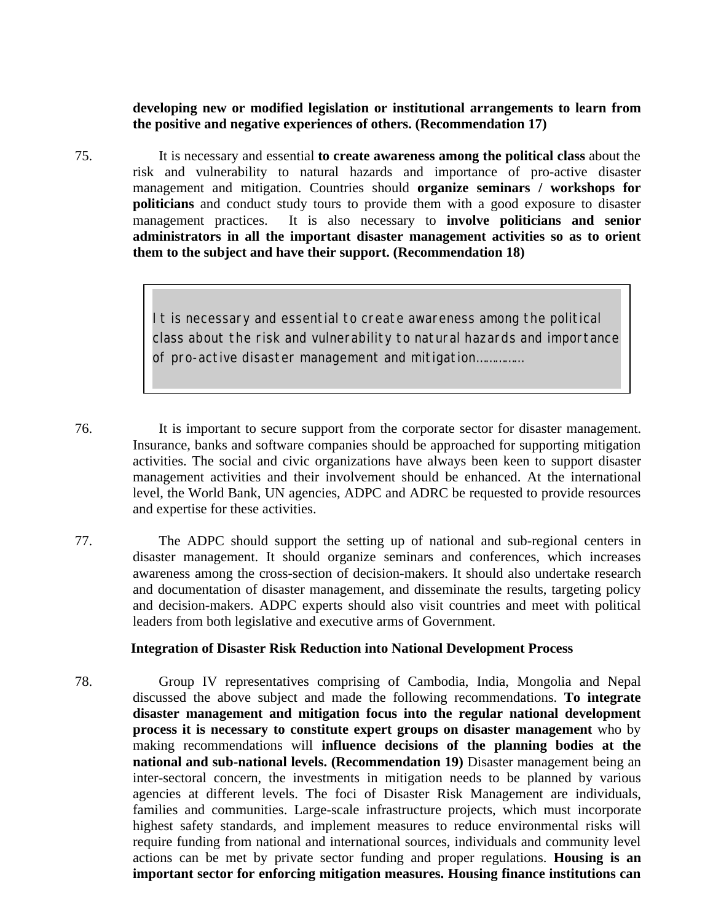**developing new or modified legislation or institutional arrangements to learn from the positive and negative experiences of others. (Recommendation 17)**

75. It is necessary and essential **to create awareness among the political class** about the risk and vulnerability to natural hazards and importance of pro-active disaster management and mitigation. Countries should **organize seminars / workshops for politicians** and conduct study tours to provide them with a good exposure to disaster management practices. It is also necessary to **involve politicians and senior administrators in all the important disaster management activities so as to orient them to the subject and have their support. (Recommendation 18)**

> *It is necessary and essential to create awareness among the political class about the risk and vulnerability to natural hazards and importance of pro-active disaster management and mitigation……………*

76. It is important to secure support from the corporate sector for disaster management. Insurance, banks and software companies should be approached for supporting mitigation activities. The social and civic organizations have always been keen to support disaster management activities and their involvement should be enhanced. At the international level, the World Bank, UN agencies, ADPC and ADRC be requested to provide resources and expertise for these activities.

77. The ADPC should support the setting up of national and sub-regional centers in disaster management. It should organize seminars and conferences, which increases awareness among the cross-section of decision-makers. It should also undertake research and documentation of disaster management, and disseminate the results, targeting policy and decision-makers. ADPC experts should also visit countries and meet with political leaders from both legislative and executive arms of Government.

### **Integration of Disaster Risk Reduction into National Development Process**

78. Group IV representatives comprising of Cambodia, India, Mongolia and Nepal discussed the above subject and made the following recommendations. **To integrate disaster management and mitigation focus into the regular national development process it is necessary to constitute expert groups on disaster management** who by making recommendations will **influence decisions of the planning bodies at the national and sub-national levels. (Recommendation 19)** Disaster management being an inter-sectoral concern, the investments in mitigation needs to be planned by various agencies at different levels. The foci of Disaster Risk Management are individuals, families and communities. Large-scale infrastructure projects, which must incorporate highest safety standards, and implement measures to reduce environmental risks will require funding from national and international sources, individuals and community level actions can be met by private sector funding and proper regulations. **Housing is an important sector for enforcing mitigation measures. Housing finance institutions can**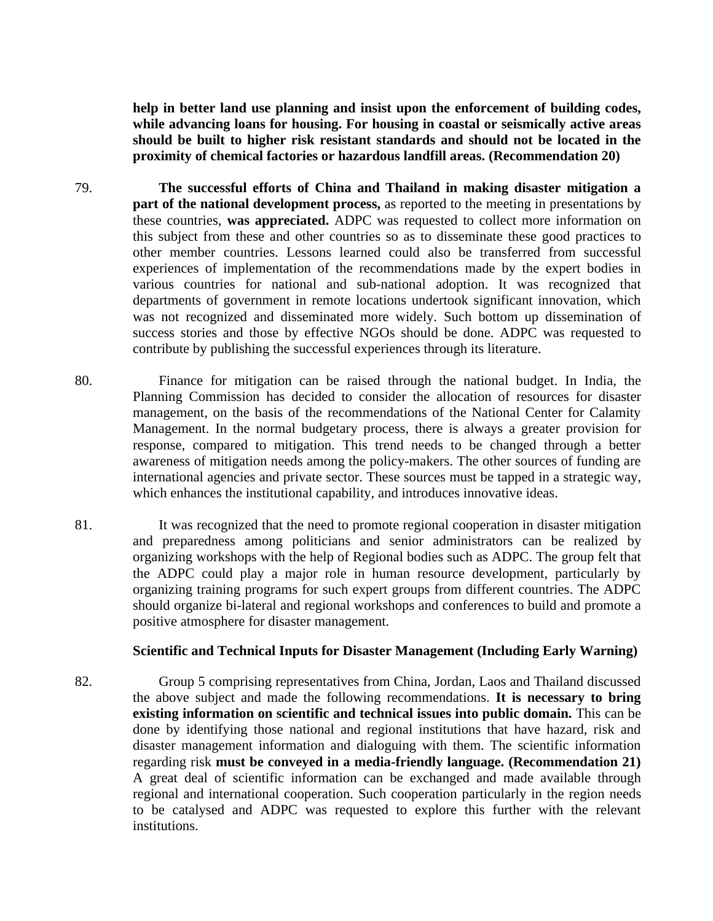**help in better land use planning and insist upon the enforcement of building codes, while advancing loans for housing. For housing in coastal or seismically active areas should be built to higher risk resistant standards and should not be located in the proximity of chemical factories or hazardous landfill areas. (Recommendation 20)**

- 79. **The successful efforts of China and Thailand in making disaster mitigation a part of the national development process,** as reported to the meeting in presentations by these countries, **was appreciated.** ADPC was requested to collect more information on this subject from these and other countries so as to disseminate these good practices to other member countries. Lessons learned could also be transferred from successful experiences of implementation of the recommendations made by the expert bodies in various countries for national and sub-national adoption. It was recognized that departments of government in remote locations undertook significant innovation, which was not recognized and disseminated more widely. Such bottom up dissemination of success stories and those by effective NGOs should be done. ADPC was requested to contribute by publishing the successful experiences through its literature.
- 80. Finance for mitigation can be raised through the national budget. In India, the Planning Commission has decided to consider the allocation of resources for disaster management, on the basis of the recommendations of the National Center for Calamity Management. In the normal budgetary process, there is always a greater provision for response, compared to mitigation. This trend needs to be changed through a better awareness of mitigation needs among the policy-makers. The other sources of funding are international agencies and private sector. These sources must be tapped in a strategic way, which enhances the institutional capability, and introduces innovative ideas.
- 81. It was recognized that the need to promote regional cooperation in disaster mitigation and preparedness among politicians and senior administrators can be realized by organizing workshops with the help of Regional bodies such as ADPC. The group felt that the ADPC could play a major role in human resource development, particularly by organizing training programs for such expert groups from different countries. The ADPC should organize bi-lateral and regional workshops and conferences to build and promote a positive atmosphere for disaster management.

#### **Scientific and Technical Inputs for Disaster Management (Including Early Warning)**

82. Group 5 comprising representatives from China, Jordan, Laos and Thailand discussed the above subject and made the following recommendations. **It is necessary to bring existing information on scientific and technical issues into public domain.** This can be done by identifying those national and regional institutions that have hazard, risk and disaster management information and dialoguing with them. The scientific information regarding risk **must be conveyed in a media-friendly language. (Recommendation 21)** A great deal of scientific information can be exchanged and made available through regional and international cooperation. Such cooperation particularly in the region needs to be catalysed and ADPC was requested to explore this further with the relevant institutions.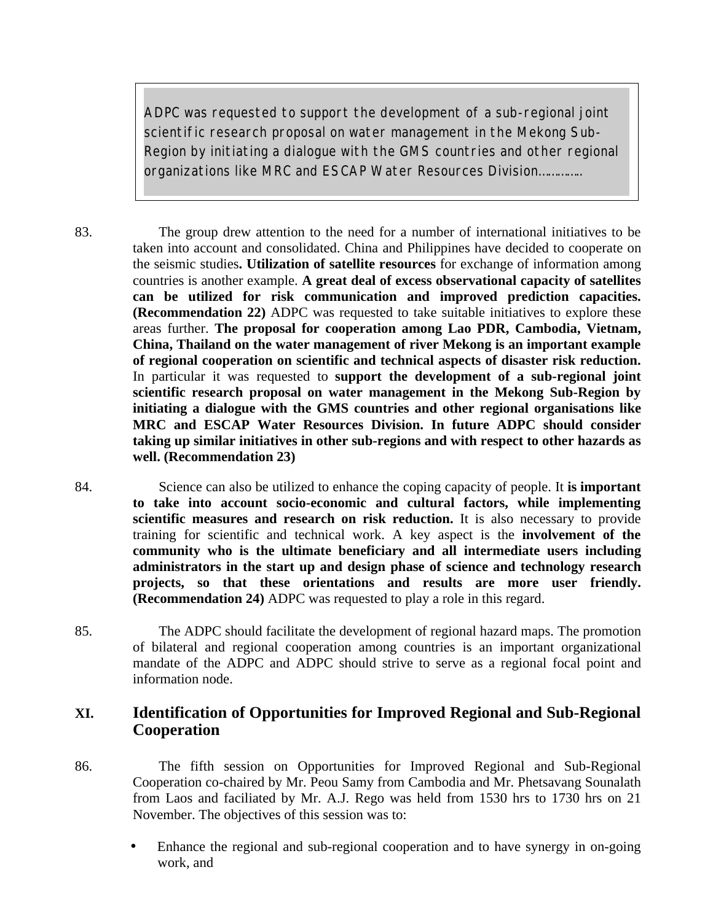*ADPC was requested to support the development of a sub-regional joint scientific research proposal on water management in the Mekong Sub-Region by initiating a dialogue with the GMS countries and other regional organizations like MRC and ESCAP Water Resources Division…………..*

83. The group drew attention to the need for a number of international initiatives to be taken into account and consolidated. China and Philippines have decided to cooperate on the seismic studies**. Utilization of satellite resources** for exchange of information among countries is another example. **A great deal of excess observational capacity of satellites can be utilized for risk communication and improved prediction capacities. (Recommendation 22)** ADPC was requested to take suitable initiatives to explore these areas further. **The proposal for cooperation among Lao PDR, Cambodia, Vietnam, China, Thailand on the water management of river Mekong is an important example of regional cooperation on scientific and technical aspects of disaster risk reduction.** In particular it was requested to **support the development of a sub-regional joint scientific research proposal on water management in the Mekong Sub-Region by initiating a dialogue with the GMS countries and other regional organisations like MRC and ESCAP Water Resources Division. In future ADPC should consider taking up similar initiatives in other sub-regions and with respect to other hazards as well. (Recommendation 23)**

84. Science can also be utilized to enhance the coping capacity of people. It **is important to take into account socio-economic and cultural factors, while implementing scientific measures and research on risk reduction.** It is also necessary to provide training for scientific and technical work. A key aspect is the **involvement of the community who is the ultimate beneficiary and all intermediate users including administrators in the start up and design phase of science and technology research projects, so that these orientations and results are more user friendly. (Recommendation 24)** ADPC was requested to play a role in this regard.

85. The ADPC should facilitate the development of regional hazard maps. The promotion of bilateral and regional cooperation among countries is an important organizational mandate of the ADPC and ADPC should strive to serve as a regional focal point and information node.

## **XI. Identification of Opportunities for Improved Regional and Sub-Regional Cooperation**

- 86. The fifth session on Opportunities for Improved Regional and Sub-Regional Cooperation co-chaired by Mr. Peou Samy from Cambodia and Mr. Phetsavang Sounalath from Laos and faciliated by Mr. A.J. Rego was held from 1530 hrs to 1730 hrs on 21 November. The objectives of this session was to:
	- Enhance the regional and sub-regional cooperation and to have synergy in on-going work, and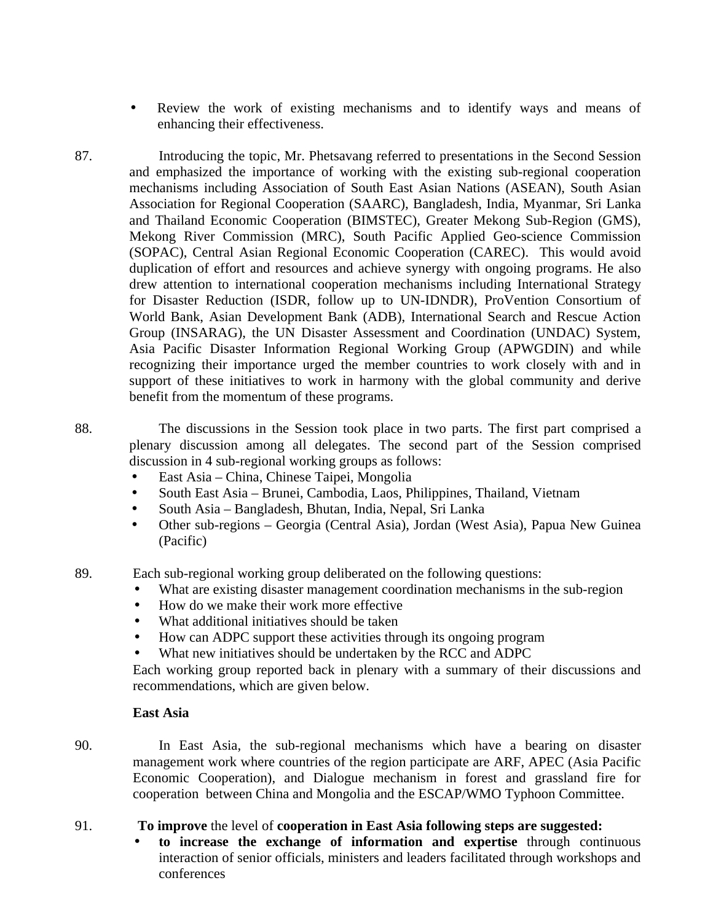- Review the work of existing mechanisms and to identify ways and means of enhancing their effectiveness.
- 87. Introducing the topic, Mr. Phetsavang referred to presentations in the Second Session and emphasized the importance of working with the existing sub-regional cooperation mechanisms including Association of South East Asian Nations (ASEAN), South Asian Association for Regional Cooperation (SAARC), Bangladesh, India, Myanmar, Sri Lanka and Thailand Economic Cooperation (BIMSTEC), Greater Mekong Sub-Region (GMS), Mekong River Commission (MRC), South Pacific Applied Geo-science Commission (SOPAC), Central Asian Regional Economic Cooperation (CAREC). This would avoid duplication of effort and resources and achieve synergy with ongoing programs. He also drew attention to international cooperation mechanisms including International Strategy for Disaster Reduction (ISDR, follow up to UN-IDNDR), ProVention Consortium of World Bank, Asian Development Bank (ADB), International Search and Rescue Action Group (INSARAG), the UN Disaster Assessment and Coordination (UNDAC) System, Asia Pacific Disaster Information Regional Working Group (APWGDIN) and while recognizing their importance urged the member countries to work closely with and in support of these initiatives to work in harmony with the global community and derive benefit from the momentum of these programs.
- 

88. The discussions in the Session took place in two parts. The first part comprised a plenary discussion among all delegates. The second part of the Session comprised discussion in 4 sub-regional working groups as follows:

- East Asia China, Chinese Taipei, Mongolia
- South East Asia Brunei, Cambodia, Laos, Philippines, Thailand, Vietnam
- South Asia Bangladesh, Bhutan, India, Nepal, Sri Lanka
- Other sub-regions Georgia (Central Asia), Jordan (West Asia), Papua New Guinea (Pacific)
- 89. Each sub-regional working group deliberated on the following questions:
	- What are existing disaster management coordination mechanisms in the sub-region
	- How do we make their work more effective
	- What additional initiatives should be taken
	- How can ADPC support these activities through its ongoing program
	- What new initiatives should be undertaken by the RCC and ADPC

Each working group reported back in plenary with a summary of their discussions and recommendations, which are given below.

#### **East Asia**

90. In East Asia, the sub-regional mechanisms which have a bearing on disaster management work where countries of the region participate are ARF, APEC (Asia Pacific Economic Cooperation), and Dialogue mechanism in forest and grassland fire for cooperation between China and Mongolia and the ESCAP/WMO Typhoon Committee.

- 91. **To improve** the level of **cooperation in East Asia following steps are suggested:**
	- **to increase the exchange of information and expertise** through continuous interaction of senior officials, ministers and leaders facilitated through workshops and conferences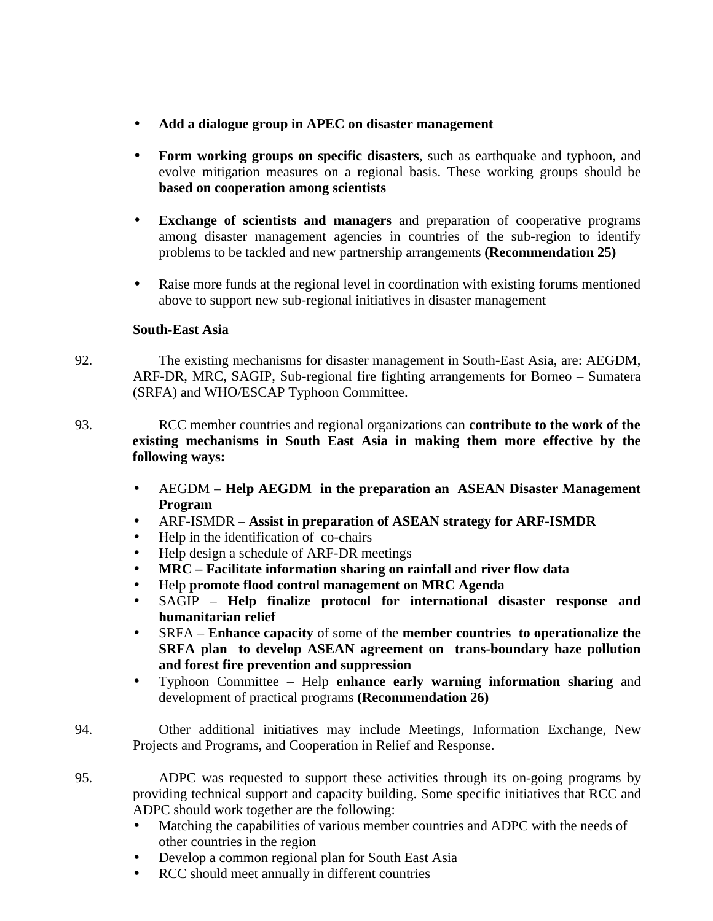- **Add a dialogue group in APEC on disaster management**
- **Form working groups on specific disasters**, such as earthquake and typhoon, and evolve mitigation measures on a regional basis. These working groups should be **based on cooperation among scientists**
- **Exchange of scientists and managers** and preparation of cooperative programs among disaster management agencies in countries of the sub-region to identify problems to be tackled and new partnership arrangements **(Recommendation 25)**
- Raise more funds at the regional level in coordination with existing forums mentioned above to support new sub-regional initiatives in disaster management

### **South-East Asia**

- 92. The existing mechanisms for disaster management in South-East Asia, are: AEGDM, ARF-DR, MRC, SAGIP, Sub-regional fire fighting arrangements for Borneo – Sumatera (SRFA) and WHO/ESCAP Typhoon Committee.
- 93. RCC member countries and regional organizations can **contribute to the work of the existing mechanisms in South East Asia in making them more effective by the following ways:**
	- AEGDM **Help AEGDM in the preparation an ASEAN Disaster Management Program**
	- ARF-ISMDR **Assist in preparation of ASEAN strategy for ARF-ISMDR**
	- Help in the identification of co-chairs
	- Help design a schedule of ARF-DR meetings
	- **MRC Facilitate information sharing on rainfall and river flow data**
	- Help **promote flood control management on MRC Agenda**
	- SAGIP **Help finalize protocol for international disaster response and humanitarian relief**
	- SRFA **Enhance capacity** of some of the **member countries to operationalize the SRFA plan to develop ASEAN agreement on trans-boundary haze pollution and forest fire prevention and suppression**
	- Typhoon Committee Help **enhance early warning information sharing** and development of practical programs **(Recommendation 26)**
- 94. Other additional initiatives may include Meetings, Information Exchange, New Projects and Programs, and Cooperation in Relief and Response.
- 95. ADPC was requested to support these activities through its on-going programs by providing technical support and capacity building. Some specific initiatives that RCC and ADPC should work together are the following:
	- Matching the capabilities of various member countries and ADPC with the needs of other countries in the region
	- Develop a common regional plan for South East Asia
	- RCC should meet annually in different countries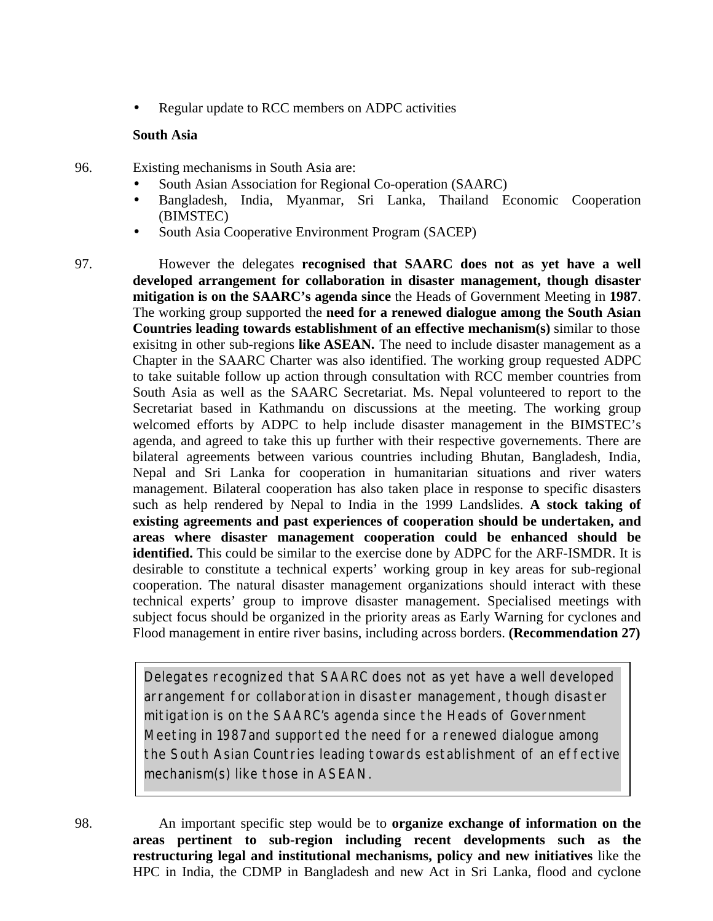• Regular update to RCC members on ADPC activities

### **South Asia**

- 96. Existing mechanisms in South Asia are:
	- South Asian Association for Regional Co-operation (SAARC)
	- Bangladesh, India, Myanmar, Sri Lanka, Thailand Economic Cooperation (BIMSTEC)
	- South Asia Cooperative Environment Program (SACEP)
- 97. However the delegates **recognised that SAARC does not as yet have a well developed arrangement for collaboration in disaster management, though disaster mitigation is on the SAARC's agenda since** the Heads of Government Meeting in **1987**. The working group supported the **need for a renewed dialogue among the South Asian Countries leading towards establishment of an effective mechanism(s)** similar to those exisitng in other sub-regions like ASEAN. The need to include disaster management as a Chapter in the SAARC Charter was also identified. The working group requested ADPC to take suitable follow up action through consultation with RCC member countries from South Asia as well as the SAARC Secretariat. Ms. Nepal volunteered to report to the Secretariat based in Kathmandu on discussions at the meeting. The working group welcomed efforts by ADPC to help include disaster management in the BIMSTEC's agenda, and agreed to take this up further with their respective governements. There are bilateral agreements between various countries including Bhutan, Bangladesh, India, Nepal and Sri Lanka for cooperation in humanitarian situations and river waters management. Bilateral cooperation has also taken place in response to specific disasters such as help rendered by Nepal to India in the 1999 Landslides. **A stock taking of existing agreements and past experiences of cooperation should be undertaken, and areas where disaster management cooperation could be enhanced should be identified.** This could be similar to the exercise done by ADPC for the ARF-ISMDR. It is desirable to constitute a technical experts' working group in key areas for sub-regional cooperation. The natural disaster management organizations should interact with these technical experts' group to improve disaster management. Specialised meetings with subject focus should be organized in the priority areas as Early Warning for cyclones and Flood management in entire river basins, including across borders. **(Recommendation 27)**

*Delegates recognized that SAARC does not as yet have a well developed arrangement for collaboration in disaster management, though disaster mitigation is on the SAARC's agenda since the Heads of Government Meeting in 1987and supported the need for a renewed dialogue among the South Asian Countries leading towards establishment of an effective mechanism(s) like those in ASEAN.*

98. An important specific step would be to **organize exchange of information on the areas pertinent to sub-region including recent developments such as the restructuring legal and institutional mechanisms, policy and new initiatives** like the HPC in India, the CDMP in Bangladesh and new Act in Sri Lanka, flood and cyclone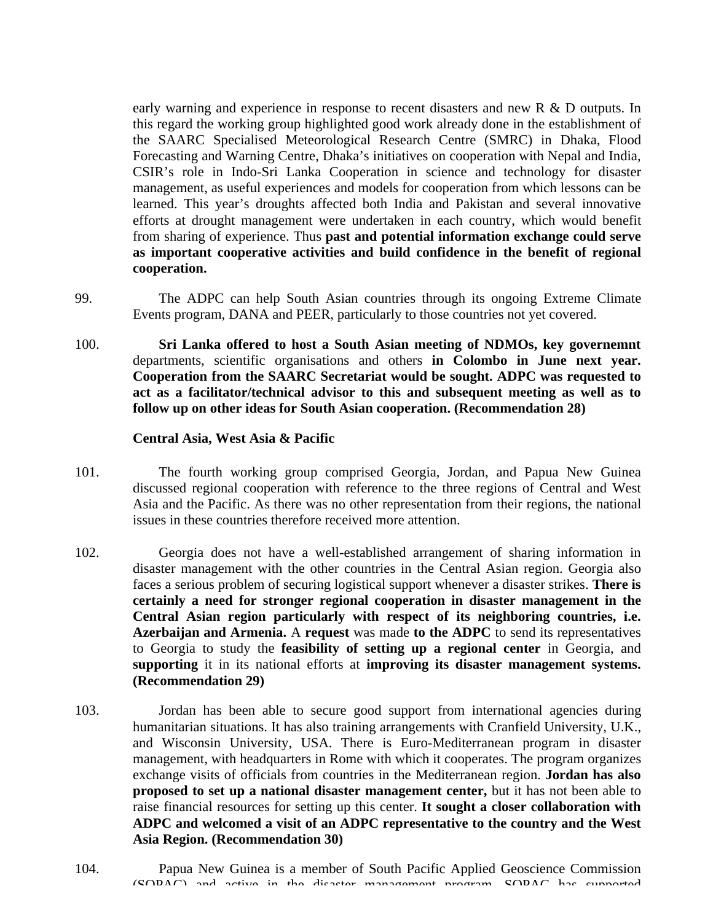early warning and experience in response to recent disasters and new R & D outputs. In this regard the working group highlighted good work already done in the establishment of the SAARC Specialised Meteorological Research Centre (SMRC) in Dhaka, Flood Forecasting and Warning Centre, Dhaka's initiatives on cooperation with Nepal and India, CSIR's role in Indo-Sri Lanka Cooperation in science and technology for disaster management, as useful experiences and models for cooperation from which lessons can be learned. This year's droughts affected both India and Pakistan and several innovative efforts at drought management were undertaken in each country, which would benefit from sharing of experience. Thus **past and potential information exchange could serve as important cooperative activities and build confidence in the benefit of regional cooperation.**

- 99. The ADPC can help South Asian countries through its ongoing Extreme Climate Events program, DANA and PEER, particularly to those countries not yet covered.
- 100. **Sri Lanka offered to host a South Asian meeting of NDMOs, key governemnt** departments, scientific organisations and others **in Colombo in June next year. Cooperation from the SAARC Secretariat would be sought. ADPC was requested to act as a facilitator/technical advisor to this and subsequent meeting as well as to follow up on other ideas for South Asian cooperation. (Recommendation 28)**

#### **Central Asia, West Asia & Pacific**

- 101. The fourth working group comprised Georgia, Jordan, and Papua New Guinea discussed regional cooperation with reference to the three regions of Central and West Asia and the Pacific. As there was no other representation from their regions, the national issues in these countries therefore received more attention.
- 102. Georgia does not have a well-established arrangement of sharing information in disaster management with the other countries in the Central Asian region. Georgia also faces a serious problem of securing logistical support whenever a disaster strikes. **There is certainly a need for stronger regional cooperation in disaster management in the Central Asian region particularly with respect of its neighboring countries, i.e. Azerbaijan and Armenia.** A **request** was made **to the ADPC** to send its representatives to Georgia to study the **feasibility of setting up a regional center** in Georgia, and **supporting** it in its national efforts at **improving its disaster management systems. (Recommendation 29)**
- 103. Jordan has been able to secure good support from international agencies during humanitarian situations. It has also training arrangements with Cranfield University, U.K., and Wisconsin University, USA. There is Euro-Mediterranean program in disaster management, with headquarters in Rome with which it cooperates. The program organizes exchange visits of officials from countries in the Mediterranean region. **Jordan has also proposed to set up a national disaster management center,** but it has not been able to raise financial resources for setting up this center. **It sought a closer collaboration with ADPC and welcomed a visit of an ADPC representative to the country and the West Asia Region. (Recommendation 30)**
- 104. Papua New Guinea is a member of South Pacific Applied Geoscience Commission (SOPAC) and active in the disaster management program. SOPAC has supported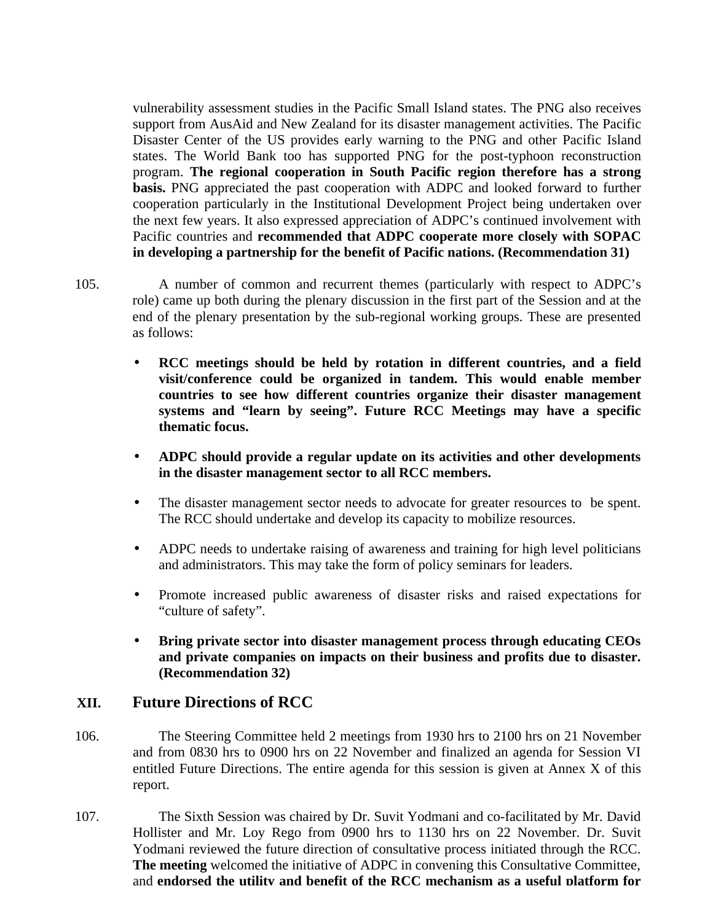vulnerability assessment studies in the Pacific Small Island states. The PNG also receives support from AusAid and New Zealand for its disaster management activities. The Pacific Disaster Center of the US provides early warning to the PNG and other Pacific Island states. The World Bank too has supported PNG for the post-typhoon reconstruction program. **The regional cooperation in South Pacific region therefore has a strong basis.** PNG appreciated the past cooperation with ADPC and looked forward to further cooperation particularly in the Institutional Development Project being undertaken over the next few years. It also expressed appreciation of ADPC's continued involvement with Pacific countries and **recommended that ADPC cooperate more closely with SOPAC in developing a partnership for the benefit of Pacific nations. (Recommendation 31)**

- 105. A number of common and recurrent themes (particularly with respect to ADPC's role) came up both during the plenary discussion in the first part of the Session and at the end of the plenary presentation by the sub-regional working groups. These are presented as follows:
	- **RCC meetings should be held by rotation in different countries, and a field visit/conference could be organized in tandem. This would enable member countries to see how different countries organize their disaster management systems and "learn by seeing". Future RCC Meetings may have a specific thematic focus.**
	- **ADPC should provide a regular update on its activities and other developments in the disaster management sector to all RCC members.**
	- The disaster management sector needs to advocate for greater resources to be spent. The RCC should undertake and develop its capacity to mobilize resources.
	- ADPC needs to undertake raising of awareness and training for high level politicians and administrators. This may take the form of policy seminars for leaders.
	- Promote increased public awareness of disaster risks and raised expectations for "culture of safety".
	- **Bring private sector into disaster management process through educating CEOs and private companies on impacts on their business and profits due to disaster. (Recommendation 32)**

## **XII. Future Directions of RCC**

- 106. The Steering Committee held 2 meetings from 1930 hrs to 2100 hrs on 21 November and from 0830 hrs to 0900 hrs on 22 November and finalized an agenda for Session VI entitled Future Directions. The entire agenda for this session is given at Annex X of this report.
- 107. The Sixth Session was chaired by Dr. Suvit Yodmani and co-facilitated by Mr. David Hollister and Mr. Loy Rego from 0900 hrs to 1130 hrs on 22 November. Dr. Suvit Yodmani reviewed the future direction of consultative process initiated through the RCC. **The meeting** welcomed the initiative of ADPC in convening this Consultative Committee, and **endorsed the utility and benefit of the RCC mechanism as a useful platform for**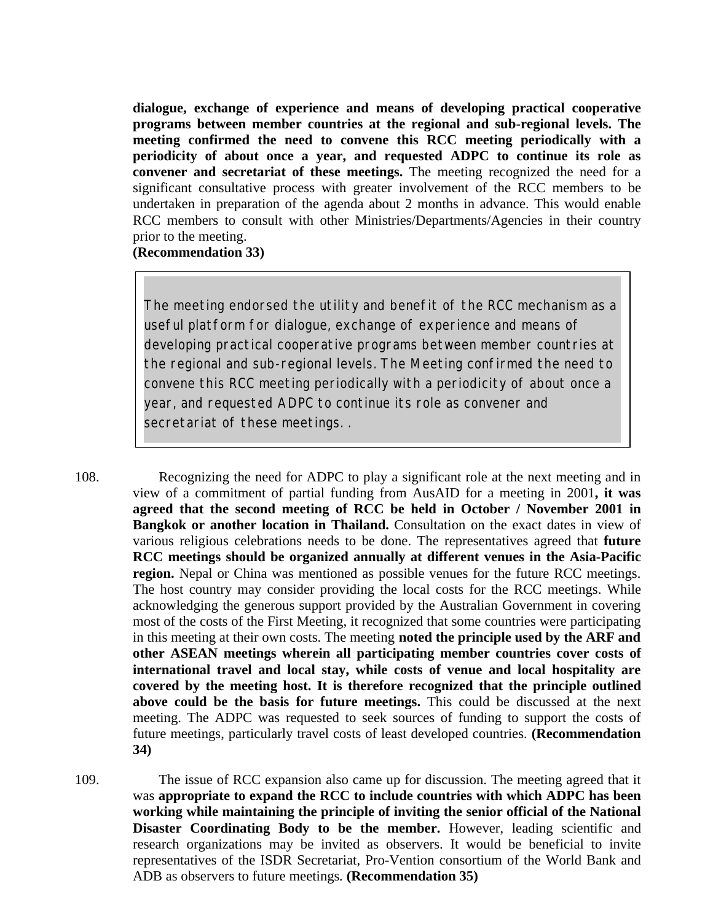**dialogue, exchange of experience and means of developing practical cooperative programs between member countries at the regional and sub-regional levels. The meeting confirmed the need to convene this RCC meeting periodically with a periodicity of about once a year, and requested ADPC to continue its role as convener and secretariat of these meetings.** The meeting recognized the need for a significant consultative process with greater involvement of the RCC members to be undertaken in preparation of the agenda about 2 months in advance. This would enable RCC members to consult with other Ministries/Departments/Agencies in their country prior to the meeting.

### **(Recommendation 33)**

*The meeting endorsed the utility and benefit of the RCC mechanism as a useful platform for dialogue, exchange of experience and means of developing practical cooperative programs between member countries at the regional and sub-regional levels. The Meeting confirmed the need to convene this RCC meeting periodically with a periodicity of about once a year, and requested ADPC to continue its role as convener and secretariat of these meetings. .*

108. Recognizing the need for ADPC to play a significant role at the next meeting and in view of a commitment of partial funding from AusAID for a meeting in 2001**, it was agreed that the second meeting of RCC be held in October / November 2001 in Bangkok or another location in Thailand.** Consultation on the exact dates in view of various religious celebrations needs to be done. The representatives agreed that **future RCC meetings should be organized annually at different venues in the Asia-Pacific region.** Nepal or China was mentioned as possible venues for the future RCC meetings. The host country may consider providing the local costs for the RCC meetings. While acknowledging the generous support provided by the Australian Government in covering most of the costs of the First Meeting, it recognized that some countries were participating in this meeting at their own costs. The meeting **noted the principle used by the ARF and other ASEAN meetings wherein all participating member countries cover costs of international travel and local stay, while costs of venue and local hospitality are covered by the meeting host. It is therefore recognized that the principle outlined above could be the basis for future meetings.** This could be discussed at the next meeting. The ADPC was requested to seek sources of funding to support the costs of future meetings, particularly travel costs of least developed countries. **(Recommendation 34)**

109. The issue of RCC expansion also came up for discussion. The meeting agreed that it was **appropriate to expand the RCC to include countries with which ADPC has been working while maintaining the principle of inviting the senior official of the National Disaster Coordinating Body to be the member.** However, leading scientific and research organizations may be invited as observers. It would be beneficial to invite representatives of the ISDR Secretariat, Pro-Vention consortium of the World Bank and ADB as observers to future meetings*.* **(Recommendation 35)**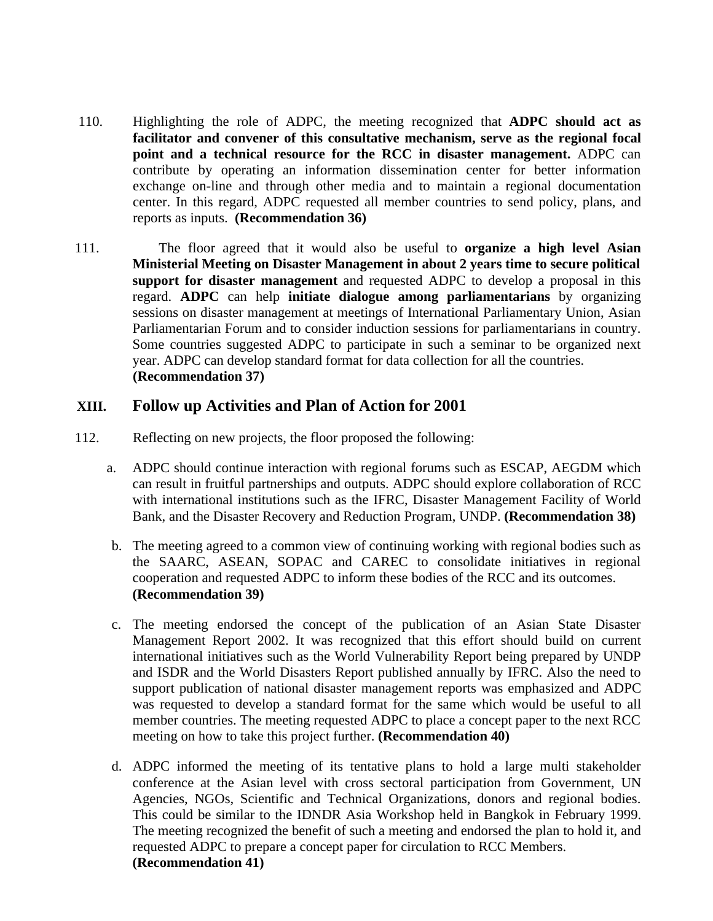- 110. Highlighting the role of ADPC, the meeting recognized that **ADPC should act as facilitator and convener of this consultative mechanism, serve as the regional focal point and a technical resource for the RCC in disaster management.** ADPC can contribute by operating an information dissemination center for better information exchange on-line and through other media and to maintain a regional documentation center. In this regard, ADPC requested all member countries to send policy, plans, and reports as inputs. **(Recommendation 36)**
- 111. The floor agreed that it would also be useful to **organize a high level Asian Ministerial Meeting on Disaster Management in about 2 years time to secure political support for disaster management** and requested ADPC to develop a proposal in this regard. **ADPC** can help **initiate dialogue among parliamentarians** by organizing sessions on disaster management at meetings of International Parliamentary Union, Asian Parliamentarian Forum and to consider induction sessions for parliamentarians in country. Some countries suggested ADPC to participate in such a seminar to be organized next year. ADPC can develop standard format for data collection for all the countries. **(Recommendation 37)**

### **XIII. Follow up Activities and Plan of Action for 2001**

- 112. Reflecting on new projects, the floor proposed the following:
	- a. ADPC should continue interaction with regional forums such as ESCAP, AEGDM which can result in fruitful partnerships and outputs. ADPC should explore collaboration of RCC with international institutions such as the IFRC, Disaster Management Facility of World Bank, and the Disaster Recovery and Reduction Program, UNDP. **(Recommendation 38)**
	- b. The meeting agreed to a common view of continuing working with regional bodies such as the SAARC, ASEAN, SOPAC and CAREC to consolidate initiatives in regional cooperation and requested ADPC to inform these bodies of the RCC and its outcomes. **(Recommendation 39)**
	- c. The meeting endorsed the concept of the publication of an Asian State Disaster Management Report 2002. It was recognized that this effort should build on current international initiatives such as the World Vulnerability Report being prepared by UNDP and ISDR and the World Disasters Report published annually by IFRC. Also the need to support publication of national disaster management reports was emphasized and ADPC was requested to develop a standard format for the same which would be useful to all member countries. The meeting requested ADPC to place a concept paper to the next RCC meeting on how to take this project further. **(Recommendation 40)**
	- d. ADPC informed the meeting of its tentative plans to hold a large multi stakeholder conference at the Asian level with cross sectoral participation from Government, UN Agencies, NGOs, Scientific and Technical Organizations, donors and regional bodies. This could be similar to the IDNDR Asia Workshop held in Bangkok in February 1999. The meeting recognized the benefit of such a meeting and endorsed the plan to hold it, and requested ADPC to prepare a concept paper for circulation to RCC Members. **(Recommendation 41)**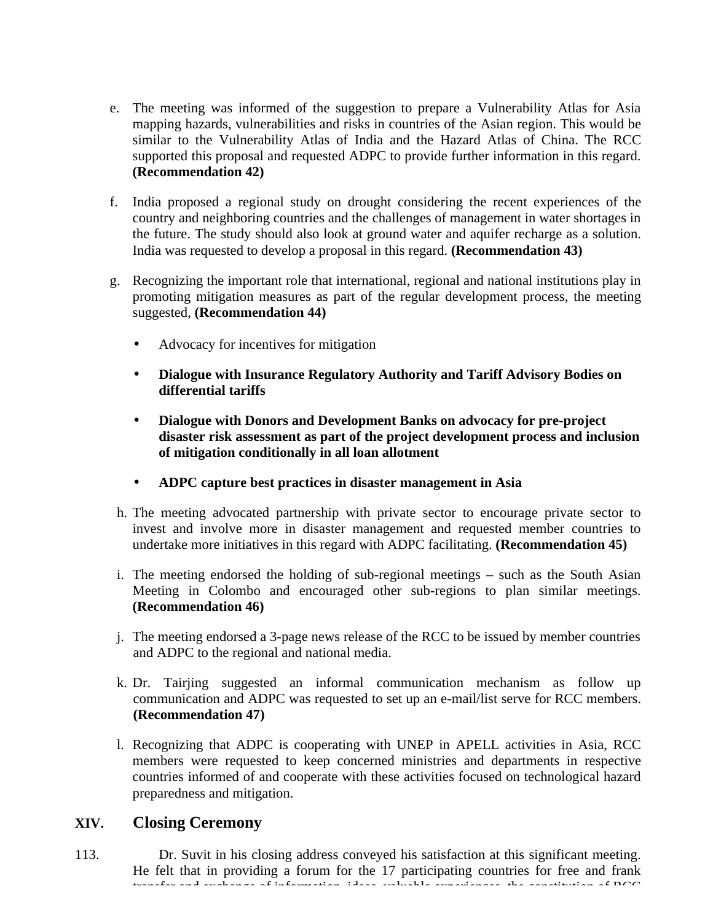- e. The meeting was informed of the suggestion to prepare a Vulnerability Atlas for Asia mapping hazards, vulnerabilities and risks in countries of the Asian region. This would be similar to the Vulnerability Atlas of India and the Hazard Atlas of China. The RCC supported this proposal and requested ADPC to provide further information in this regard. **(Recommendation 42)**
- f. India proposed a regional study on drought considering the recent experiences of the country and neighboring countries and the challenges of management in water shortages in the future. The study should also look at ground water and aquifer recharge as a solution. India was requested to develop a proposal in this regard. **(Recommendation 43)**
- g. Recognizing the important role that international, regional and national institutions play in promoting mitigation measures as part of the regular development process, the meeting suggested, **(Recommendation 44)**
	- Advocacy for incentives for mitigation
	- **Dialogue with Insurance Regulatory Authority and Tariff Advisory Bodies on differential tariffs**
	- **Dialogue with Donors and Development Banks on advocacy for pre-project disaster risk assessment as part of the project development process and inclusion of mitigation conditionally in all loan allotment**
	- **ADPC capture best practices in disaster management in Asia**
- h. The meeting advocated partnership with private sector to encourage private sector to invest and involve more in disaster management and requested member countries to undertake more initiatives in this regard with ADPC facilitating. **(Recommendation 45)**
- i. The meeting endorsed the holding of sub-regional meetings such as the South Asian Meeting in Colombo and encouraged other sub-regions to plan similar meetings. **(Recommendation 46)**
- j. The meeting endorsed a 3-page news release of the RCC to be issued by member countries and ADPC to the regional and national media.
- k. Dr. Tairjing suggested an informal communication mechanism as follow up communication and ADPC was requested to set up an e-mail/list serve for RCC members. **(Recommendation 47)**
- l. Recognizing that ADPC is cooperating with UNEP in APELL activities in Asia, RCC members were requested to keep concerned ministries and departments in respective countries informed of and cooperate with these activities focused on technological hazard preparedness and mitigation.

## **XIV. Closing Ceremony**

113. Dr. Suvit in his closing address conveyed his satisfaction at this significant meeting. He felt that in providing a forum for the 17 participating countries for free and frank transfer and exchange of information, ideas, valuable experiences, the constitution of RCC